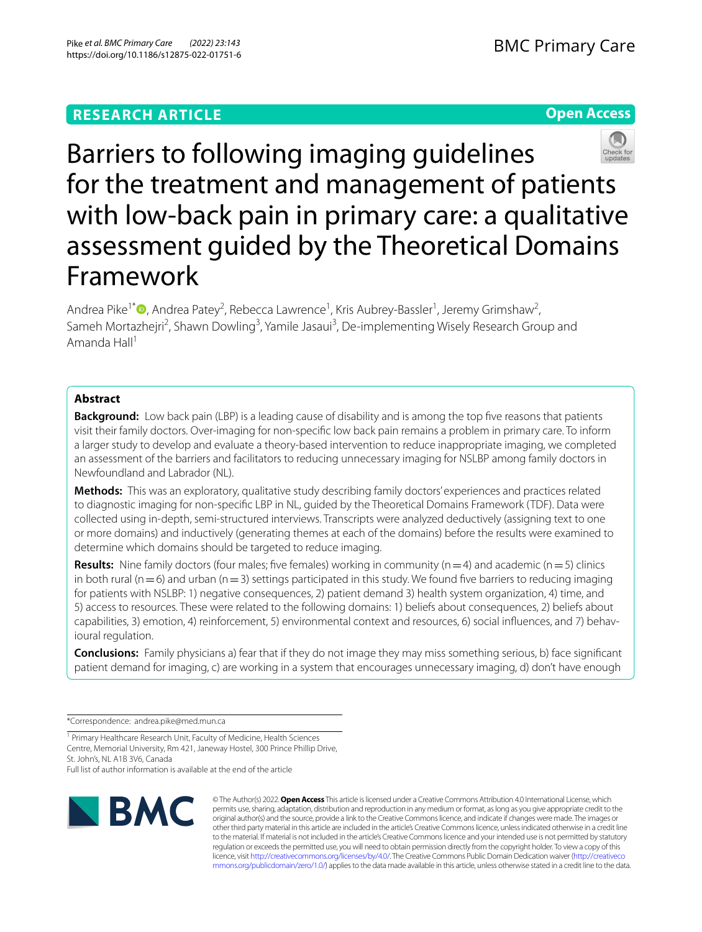# **Open Access**



Barriers to following imaging guidelines for the treatment and management of patients with low-back pain in primary care: a qualitative assessment guided by the Theoretical Domains Framework

Andrea Pike<sup>1\*</sup><sup>®</sup>[,](http://orcid.org/0000-0003-4020-2291) Andrea Patey<sup>2</sup>, Rebecca Lawrence<sup>1</sup>, Kris Aubrey-Bassler<sup>1</sup>, Jeremy Grimshaw<sup>2</sup>, Sameh Mortazhejri<sup>2</sup>, Shawn Dowling<sup>3</sup>, Yamile Jasaui<sup>3</sup>, De-implementing Wisely Research Group and Amanda Hall $1$ 

# **Abstract**

**Background:** Low back pain (LBP) is a leading cause of disability and is among the top fve reasons that patients visit their family doctors. Over-imaging for non-specifc low back pain remains a problem in primary care. To inform a larger study to develop and evaluate a theory-based intervention to reduce inappropriate imaging, we completed an assessment of the barriers and facilitators to reducing unnecessary imaging for NSLBP among family doctors in Newfoundland and Labrador (NL).

**Methods:** This was an exploratory, qualitative study describing family doctors' experiences and practices related to diagnostic imaging for non-specifc LBP in NL, guided by the Theoretical Domains Framework (TDF). Data were collected using in-depth, semi-structured interviews. Transcripts were analyzed deductively (assigning text to one or more domains) and inductively (generating themes at each of the domains) before the results were examined to determine which domains should be targeted to reduce imaging.

**Results:** Nine family doctors (four males; five females) working in community ( $n=4$ ) and academic ( $n=5$ ) clinics in both rural ( $n=6$ ) and urban ( $n=3$ ) settings participated in this study. We found five barriers to reducing imaging for patients with NSLBP: 1) negative consequences, 2) patient demand 3) health system organization, 4) time, and 5) access to resources. These were related to the following domains: 1) beliefs about consequences, 2) beliefs about capabilities, 3) emotion, 4) reinforcement, 5) environmental context and resources, 6) social influences, and 7) behavioural regulation.

**Conclusions:** Family physicians a) fear that if they do not image they may miss something serious, b) face signifcant patient demand for imaging, c) are working in a system that encourages unnecessary imaging, d) don't have enough

\*Correspondence: andrea.pike@med.mun.ca

<sup>1</sup> Primary Healthcare Research Unit, Faculty of Medicine, Health Sciences Centre, Memorial University, Rm 421, Janeway Hostel, 300 Prince Phillip Drive, St. John's, NL A1B 3V6, Canada

Full list of author information is available at the end of the article



© The Author(s) 2022. **Open Access** This article is licensed under a Creative Commons Attribution 4.0 International License, which permits use, sharing, adaptation, distribution and reproduction in any medium or format, as long as you give appropriate credit to the original author(s) and the source, provide a link to the Creative Commons licence, and indicate if changes were made. The images or other third party material in this article are included in the article's Creative Commons licence, unless indicated otherwise in a credit line to the material. If material is not included in the article's Creative Commons licence and your intended use is not permitted by statutory regulation or exceeds the permitted use, you will need to obtain permission directly from the copyright holder. To view a copy of this licence, visit [http://creativecommons.org/licenses/by/4.0/.](http://creativecommons.org/licenses/by/4.0/) The Creative Commons Public Domain Dedication waiver ([http://creativeco](http://creativecommons.org/publicdomain/zero/1.0/) [mmons.org/publicdomain/zero/1.0/](http://creativecommons.org/publicdomain/zero/1.0/)) applies to the data made available in this article, unless otherwise stated in a credit line to the data.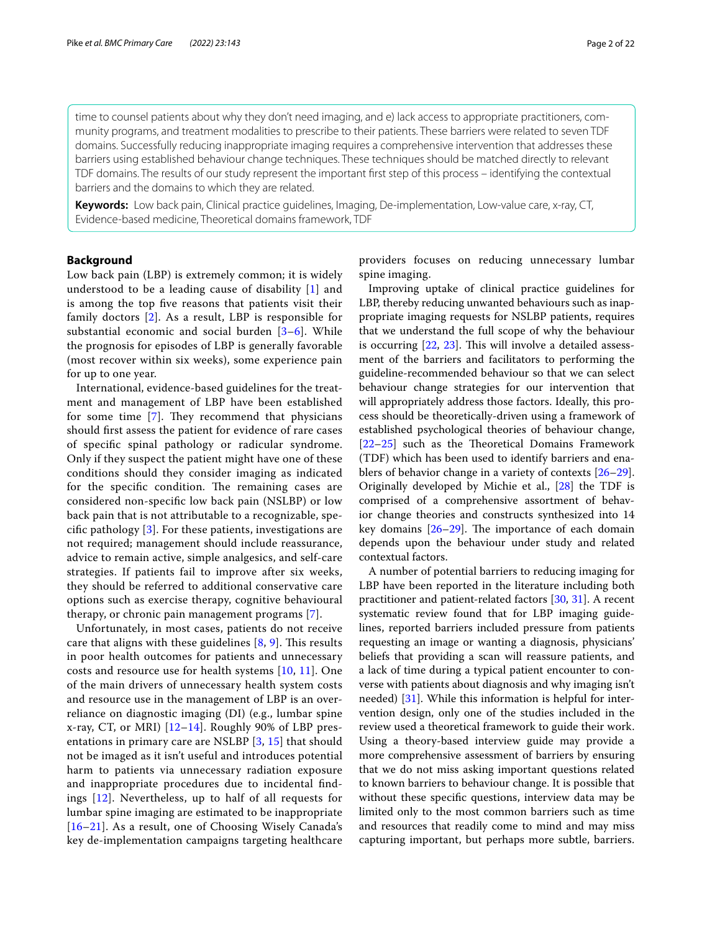time to counsel patients about why they don't need imaging, and e) lack access to appropriate practitioners, community programs, and treatment modalities to prescribe to their patients. These barriers were related to seven TDF domains. Successfully reducing inappropriate imaging requires a comprehensive intervention that addresses these barriers using established behaviour change techniques. These techniques should be matched directly to relevant TDF domains. The results of our study represent the important frst step of this process – identifying the contextual barriers and the domains to which they are related.

**Keywords:** Low back pain, Clinical practice guidelines, Imaging, De-implementation, Low-value care, x-ray, CT, Evidence-based medicine, Theoretical domains framework, TDF

### **Background**

Low back pain (LBP) is extremely common; it is widely understood to be a leading cause of disability [[1\]](#page-20-0) and is among the top fve reasons that patients visit their family doctors [[2\]](#page-20-1). As a result, LBP is responsible for substantial economic and social burden [[3–](#page-20-2)[6\]](#page-20-3). While the prognosis for episodes of LBP is generally favorable (most recover within six weeks), some experience pain for up to one year.

International, evidence-based guidelines for the treatment and management of LBP have been established for some time  $[7]$  $[7]$ . They recommend that physicians should frst assess the patient for evidence of rare cases of specifc spinal pathology or radicular syndrome. Only if they suspect the patient might have one of these conditions should they consider imaging as indicated for the specific condition. The remaining cases are considered non-specifc low back pain (NSLBP) or low back pain that is not attributable to a recognizable, specifc pathology [\[3](#page-20-2)]. For these patients, investigations are not required; management should include reassurance, advice to remain active, simple analgesics, and self-care strategies. If patients fail to improve after six weeks, they should be referred to additional conservative care options such as exercise therapy, cognitive behavioural therapy, or chronic pain management programs [[7\]](#page-20-4).

Unfortunately, in most cases, patients do not receive care that aligns with these guidelines  $[8, 9]$  $[8, 9]$  $[8, 9]$  $[8, 9]$ . This results in poor health outcomes for patients and unnecessary costs and resource use for health systems [[10,](#page-20-7) [11](#page-20-8)]. One of the main drivers of unnecessary health system costs and resource use in the management of LBP is an overreliance on diagnostic imaging (DI) (e.g., lumbar spine x-ray, CT, or MRI) [\[12](#page-20-9)[–14](#page-20-10)]. Roughly 90% of LBP presentations in primary care are NSLBP [\[3](#page-20-2), [15](#page-20-11)] that should not be imaged as it isn't useful and introduces potential harm to patients via unnecessary radiation exposure and inappropriate procedures due to incidental fndings [[12\]](#page-20-9). Nevertheless, up to half of all requests for lumbar spine imaging are estimated to be inappropriate [[16](#page-20-12)[–21](#page-20-13)]. As a result, one of Choosing Wisely Canada's key de-implementation campaigns targeting healthcare providers focuses on reducing unnecessary lumbar spine imaging.

Improving uptake of clinical practice guidelines for LBP, thereby reducing unwanted behaviours such as inappropriate imaging requests for NSLBP patients, requires that we understand the full scope of why the behaviour is occurring  $[22, 23]$  $[22, 23]$  $[22, 23]$  $[22, 23]$ . This will involve a detailed assessment of the barriers and facilitators to performing the guideline-recommended behaviour so that we can select behaviour change strategies for our intervention that will appropriately address those factors. Ideally, this process should be theoretically-driven using a framework of established psychological theories of behaviour change, [[22–](#page-20-14)[25\]](#page-20-16) such as the Theoretical Domains Framework (TDF) which has been used to identify barriers and enablers of behavior change in a variety of contexts [[26](#page-20-17)[–29](#page-21-0)]. Originally developed by Michie et al., [\[28](#page-21-1)] the TDF is comprised of a comprehensive assortment of behavior change theories and constructs synthesized into 14 key domains  $[26-29]$  $[26-29]$ . The importance of each domain depends upon the behaviour under study and related contextual factors.

A number of potential barriers to reducing imaging for LBP have been reported in the literature including both practitioner and patient-related factors [\[30](#page-21-2), [31](#page-21-3)]. A recent systematic review found that for LBP imaging guidelines, reported barriers included pressure from patients requesting an image or wanting a diagnosis, physicians' beliefs that providing a scan will reassure patients, and a lack of time during a typical patient encounter to converse with patients about diagnosis and why imaging isn't needed) [[31\]](#page-21-3). While this information is helpful for intervention design, only one of the studies included in the review used a theoretical framework to guide their work. Using a theory-based interview guide may provide a more comprehensive assessment of barriers by ensuring that we do not miss asking important questions related to known barriers to behaviour change. It is possible that without these specifc questions, interview data may be limited only to the most common barriers such as time and resources that readily come to mind and may miss capturing important, but perhaps more subtle, barriers.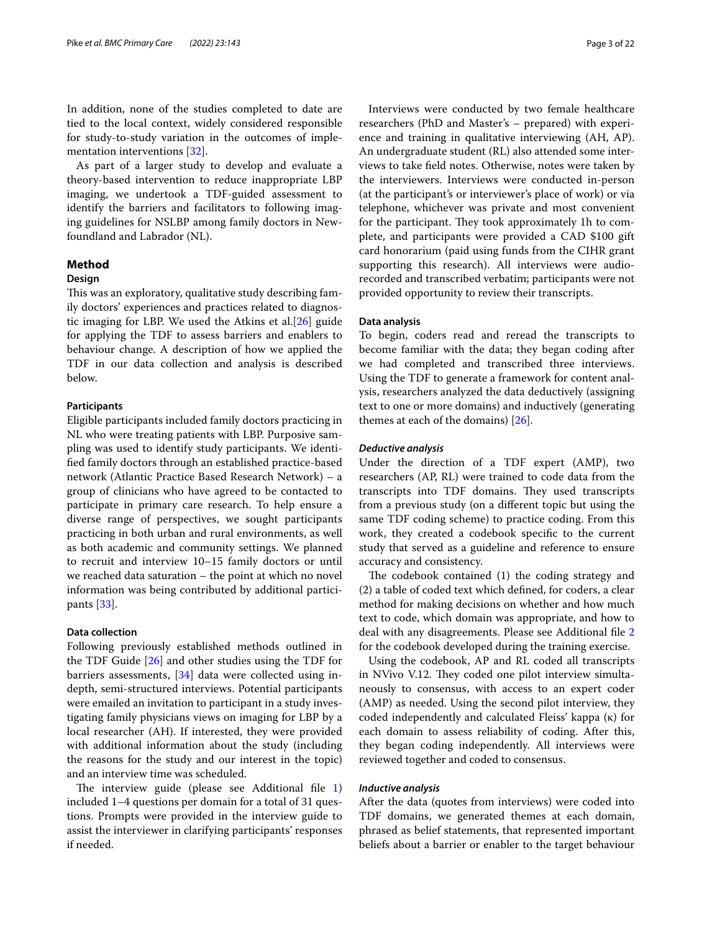In addition, none of the studies completed to date are tied to the local context, widely considered responsible for study-to-study variation in the outcomes of implementation interventions [\[32\]](#page-21-4).

As part of a larger study to develop and evaluate a theory-based intervention to reduce inappropriate LBP imaging, we undertook a TDF-guided assessment to identify the barriers and facilitators to following imaging guidelines for NSLBP among family doctors in Newfoundland and Labrador (NL).

### **Method**

### **Design**

This was an exploratory, qualitative study describing family doctors' experiences and practices related to diagnostic imaging for LBP. We used the Atkins et al.[[26\]](#page-20-17) guide for applying the TDF to assess barriers and enablers to behaviour change. A description of how we applied the TDF in our data collection and analysis is described below.

### **Participants**

Eligible participants included family doctors practicing in NL who were treating patients with LBP. Purposive sampling was used to identify study participants. We identifed family doctors through an established practice-based network (Atlantic Practice Based Research Network) – a group of clinicians who have agreed to be contacted to participate in primary care research. To help ensure a diverse range of perspectives, we sought participants practicing in both urban and rural environments, as well as both academic and community settings. We planned to recruit and interview 10–15 family doctors or until we reached data saturation – the point at which no novel information was being contributed by additional participants [[33](#page-21-5)].

### **Data collection**

Following previously established methods outlined in the TDF Guide [[26](#page-20-17)] and other studies using the TDF for barriers assessments, [\[34](#page-21-6)] data were collected using indepth, semi-structured interviews. Potential participants were emailed an invitation to participant in a study investigating family physicians views on imaging for LBP by a local researcher (AH). If interested, they were provided with additional information about the study (including the reasons for the study and our interest in the topic) and an interview time was scheduled.

The interview guide (please see Additional file  $1$ ) included 1–4 questions per domain for a total of 31 questions. Prompts were provided in the interview guide to assist the interviewer in clarifying participants' responses if needed.

Interviews were conducted by two female healthcare researchers (PhD and Master's – prepared) with experience and training in qualitative interviewing (AH, AP). An undergraduate student (RL) also attended some interviews to take feld notes. Otherwise, notes were taken by the interviewers. Interviews were conducted in-person (at the participant's or interviewer's place of work) or via telephone, whichever was private and most convenient for the participant. They took approximately 1h to complete, and participants were provided a CAD \$100 gift card honorarium (paid using funds from the CIHR grant supporting this research). All interviews were audiorecorded and transcribed verbatim; participants were not provided opportunity to review their transcripts.

### **Data analysis**

To begin, coders read and reread the transcripts to become familiar with the data; they began coding after we had completed and transcribed three interviews. Using the TDF to generate a framework for content analysis, researchers analyzed the data deductively (assigning text to one or more domains) and inductively (generating themes at each of the domains)  $[26]$ .

### *Deductive analysis*

Under the direction of a TDF expert (AMP), two researchers (AP, RL) were trained to code data from the transcripts into TDF domains. They used transcripts from a previous study (on a diferent topic but using the same TDF coding scheme) to practice coding. From this work, they created a codebook specifc to the current study that served as a guideline and reference to ensure accuracy and consistency.

The codebook contained  $(1)$  the coding strategy and (2) a table of coded text which defned, for coders, a clear method for making decisions on whether and how much text to code, which domain was appropriate, and how to deal with any disagreements. Please see Additional fle [2](#page-20-18) for the codebook developed during the training exercise.

Using the codebook, AP and RL coded all transcripts in NVivo V.12. They coded one pilot interview simultaneously to consensus, with access to an expert coder (AMP) as needed. Using the second pilot interview, they coded independently and calculated Fleiss' kappa (κ) for each domain to assess reliability of coding. After this, they began coding independently. All interviews were reviewed together and coded to consensus.

### *Inductive analysis*

After the data (quotes from interviews) were coded into TDF domains, we generated themes at each domain, phrased as belief statements, that represented important beliefs about a barrier or enabler to the target behaviour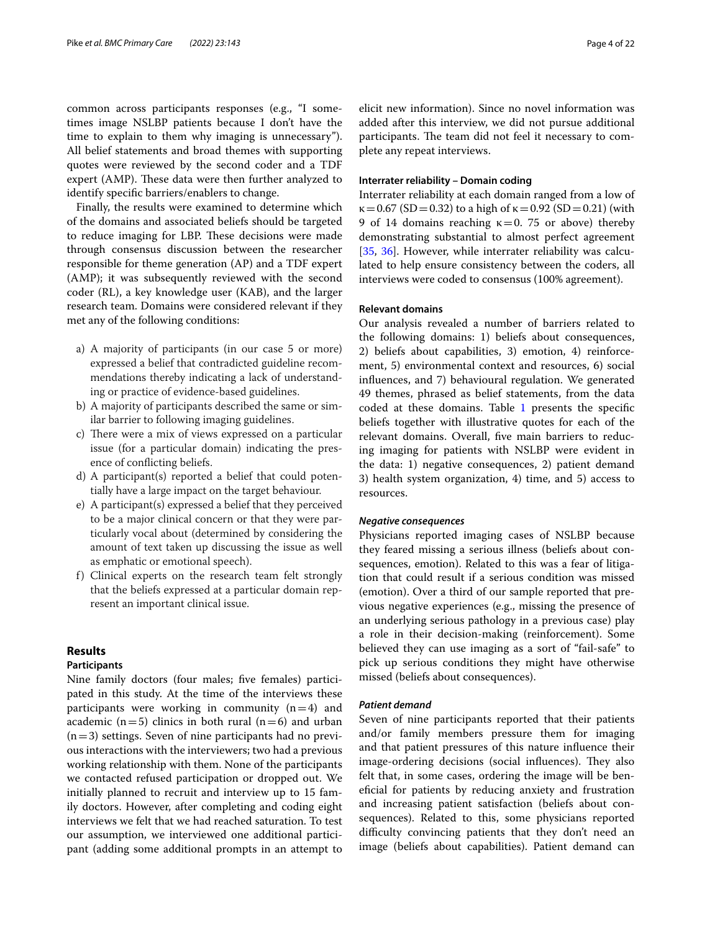common across participants responses (e.g., "I sometimes image NSLBP patients because I don't have the time to explain to them why imaging is unnecessary"). All belief statements and broad themes with supporting quotes were reviewed by the second coder and a TDF expert (AMP). These data were then further analyzed to identify specifc barriers/enablers to change.

Finally, the results were examined to determine which of the domains and associated beliefs should be targeted to reduce imaging for LBP. These decisions were made through consensus discussion between the researcher responsible for theme generation (AP) and a TDF expert (AMP); it was subsequently reviewed with the second coder (RL), a key knowledge user (KAB), and the larger research team. Domains were considered relevant if they met any of the following conditions:

- a) A majority of participants (in our case 5 or more) expressed a belief that contradicted guideline recommendations thereby indicating a lack of understanding or practice of evidence-based guidelines.
- b) A majority of participants described the same or similar barrier to following imaging guidelines.
- c) There were a mix of views expressed on a particular issue (for a particular domain) indicating the presence of conficting beliefs.
- d) A participant(s) reported a belief that could potentially have a large impact on the target behaviour.
- e) A participant(s) expressed a belief that they perceived to be a major clinical concern or that they were particularly vocal about (determined by considering the amount of text taken up discussing the issue as well as emphatic or emotional speech).
- f) Clinical experts on the research team felt strongly that the beliefs expressed at a particular domain represent an important clinical issue.

# **Results**

## **Participants**

Nine family doctors (four males; fve females) participated in this study. At the time of the interviews these participants were working in community  $(n=4)$  and academic ( $n=5$ ) clinics in both rural ( $n=6$ ) and urban  $(n=3)$  settings. Seven of nine participants had no previous interactions with the interviewers; two had a previous working relationship with them. None of the participants we contacted refused participation or dropped out. We initially planned to recruit and interview up to 15 family doctors. However, after completing and coding eight interviews we felt that we had reached saturation. To test our assumption, we interviewed one additional participant (adding some additional prompts in an attempt to

elicit new information). Since no novel information was added after this interview, we did not pursue additional participants. The team did not feel it necessary to complete any repeat interviews.

### **Interrater reliability – Domain coding**

Interrater reliability at each domain ranged from a low of  $\kappa = 0.67$  (SD = 0.32) to a high of  $\kappa = 0.92$  (SD = 0.21) (with 9 of 14 domains reaching  $\kappa = 0$ . 75 or above) thereby demonstrating substantial to almost perfect agreement [[35,](#page-21-7) [36](#page-21-8)]. However, while interrater reliability was calculated to help ensure consistency between the coders, all interviews were coded to consensus (100% agreement).

# **Relevant domains**

Our analysis revealed a number of barriers related to the following domains: 1) beliefs about consequences, 2) beliefs about capabilities, 3) emotion, 4) reinforcement, 5) environmental context and resources, 6) social infuences, and 7) behavioural regulation. We generated 49 themes, phrased as belief statements, from the data coded at these domains. Table [1](#page-4-0) presents the specific beliefs together with illustrative quotes for each of the relevant domains. Overall, fve main barriers to reducing imaging for patients with NSLBP were evident in the data: 1) negative consequences, 2) patient demand 3) health system organization, 4) time, and 5) access to resources.

### *Negative consequences*

Physicians reported imaging cases of NSLBP because they feared missing a serious illness (beliefs about consequences, emotion). Related to this was a fear of litigation that could result if a serious condition was missed (emotion). Over a third of our sample reported that previous negative experiences (e.g., missing the presence of an underlying serious pathology in a previous case) play a role in their decision-making (reinforcement). Some believed they can use imaging as a sort of "fail-safe" to pick up serious conditions they might have otherwise missed (beliefs about consequences).

### *Patient demand*

Seven of nine participants reported that their patients and/or family members pressure them for imaging and that patient pressures of this nature infuence their image-ordering decisions (social influences). They also felt that, in some cases, ordering the image will be benefcial for patients by reducing anxiety and frustration and increasing patient satisfaction (beliefs about consequences). Related to this, some physicians reported difficulty convincing patients that they don't need an image (beliefs about capabilities). Patient demand can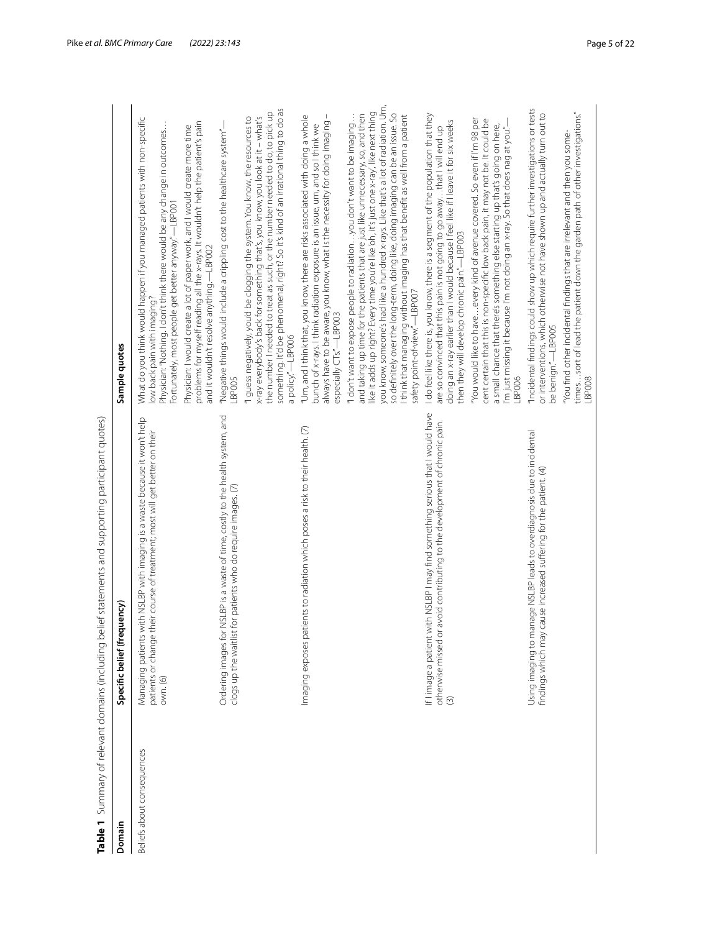<span id="page-4-0"></span>

| Beliefs about consequences<br>Domain |                                                                                                                                                                               |                                                                                                                                                                                                                                                                                                                                                                                                                                                                                                                                                  |
|--------------------------------------|-------------------------------------------------------------------------------------------------------------------------------------------------------------------------------|--------------------------------------------------------------------------------------------------------------------------------------------------------------------------------------------------------------------------------------------------------------------------------------------------------------------------------------------------------------------------------------------------------------------------------------------------------------------------------------------------------------------------------------------------|
|                                      | Specific belief (frequency)                                                                                                                                                   | Sample quotes                                                                                                                                                                                                                                                                                                                                                                                                                                                                                                                                    |
|                                      | with NSLBP with imaging is a waste because it won't help<br>patients or change their course of treatment; most will get better on their<br>Managing patients<br>own. (6)      | What do you think would happen if you managed patients with non-specific<br>Physician: "Nothing. I don't think there would be any change in outcomes<br>Fortunately, most people get better anyway."—LBP001<br>low back pain with imaging?                                                                                                                                                                                                                                                                                                       |
|                                      |                                                                                                                                                                               | problems for myself reading all the x-rays. It wouldn't help the patient's pain<br>Physician: I would create a lot of paper work, and I would create more time<br>and it wouldn't resolve anything. - LBP002                                                                                                                                                                                                                                                                                                                                     |
|                                      | NSLBP is a waste of time, costly to the health system, and<br>for patients who do require images. (7)<br>Ordering images for<br>clogs up the waitlist                         | "Negative things would include a crippling cost to the healthcare system"-<br>LBPO05                                                                                                                                                                                                                                                                                                                                                                                                                                                             |
|                                      |                                                                                                                                                                               | something. It'd be phenomenal, right? So it's kind of an irrational thing to do as<br>"I guess negatively, you'd be clogging the system. You know, the resources to<br>x-ray everybody's back for something that's, you know, you look at it – what's<br>the number I needed to treat as such, or the number needed to do,<br>a policy."-LBP006                                                                                                                                                                                                  |
|                                      | Imaging exposes patients to radiation which poses a risk to their health. (7)                                                                                                 | $\overline{\phantom{a}}$<br>"Um, and I think that, you know, there are risks associated with doing a whole<br>always have to be aware, you know, what is the necessity for doing imaging<br>bunch of x-rays. I think radiation exposure is an issue, um, and so I think we<br>especially CTs."-LBP003                                                                                                                                                                                                                                            |
|                                      |                                                                                                                                                                               | you know, someone's had like a hundred x-rays. Like that's a lot of radiation. Um,<br>like it adds up right? Every time you're like oh, it's just one x-ray, like next thing<br>so definitely over the long-term, doing like, doing imaging can be an issue. So<br>and taking up time for the patients that are just like unnecessary, so, and then<br>I think that managing without imaging has that benefit as well from a patient<br>"I don't want to expose people to radiationyou don't want to be imaging<br>safety point-of-view."-LBP007 |
|                                      | If I image a patient with NSLBP I may find something serious that I would have<br>otherwise missed or avoid contributing to the development of chronic pain.<br>$\circled{3}$ | I do feel like there is, you know, there is a segment of the population that they<br>doing an x-ray earlier than I would because I feel like if I leave it for six weeks<br>are so convinced that this pain is not going to go awaythat I will end up<br>then they will develop chronic pain."-LBP003                                                                                                                                                                                                                                            |
|                                      |                                                                                                                                                                               | "You would like to haveevery kind of avenue covered. So even if I'm 98 per<br>cent certain that this is non-specific low back pain, it may not be. It could be<br>a small chance that there's something else starting up that's going on here,<br>I'm just missing it because I'm not doing an x-ray. So that does nag at you."-<br>LBP006                                                                                                                                                                                                       |
|                                      | Using imaging to manage NSLBP leads to overdiagnosis due to incidental<br>cause increased suffering for the patient. (4)<br>findings which may                                | "Incidental findings could show up which require further investigations or tests<br>or interventions, which otherwise not have shown up and actually turn out to<br>be benign."-LBP005                                                                                                                                                                                                                                                                                                                                                           |
|                                      |                                                                                                                                                                               | timessort of lead the patient down the garden path of other investigations."<br>"You find other incidental findings that are irrelevant and then you some-<br>LBPO08                                                                                                                                                                                                                                                                                                                                                                             |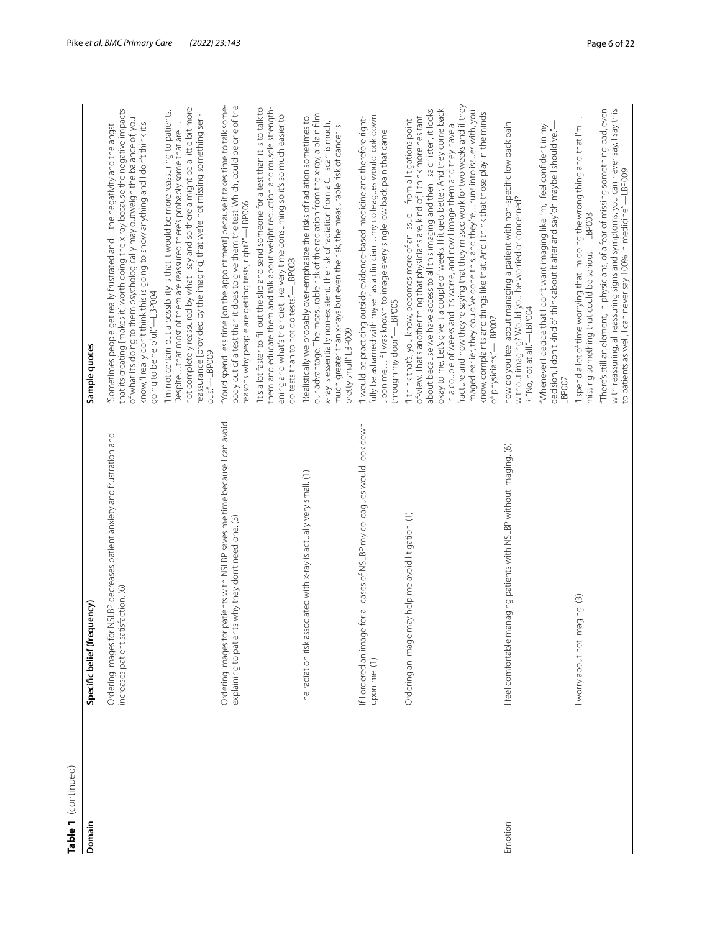| Table 1 (continued) |                                                                                                                                     |                                                                                                                                                                                                                                                                                                                                                                                                                                                                                                                                                                                                                                                                                                               |
|---------------------|-------------------------------------------------------------------------------------------------------------------------------------|---------------------------------------------------------------------------------------------------------------------------------------------------------------------------------------------------------------------------------------------------------------------------------------------------------------------------------------------------------------------------------------------------------------------------------------------------------------------------------------------------------------------------------------------------------------------------------------------------------------------------------------------------------------------------------------------------------------|
| Domain              | Specific belief (frequency)                                                                                                         | Sample quotes                                                                                                                                                                                                                                                                                                                                                                                                                                                                                                                                                                                                                                                                                                 |
|                     | NSLBP decreases patient anxiety and frustration and<br>increases patient satisfaction. (6)<br>Ordering images for                   | that its creating [makes it] worth doing the x-ray because the negative impacts<br>of what it's doing to them psychologically may outweigh the balance of, you<br>know, I really don't think this is going to show anything and I don't think it's<br>Sometimes people get really frustrated and  the negativity and the angst<br>going to be helpful"-LBP004                                                                                                                                                                                                                                                                                                                                                 |
|                     |                                                                                                                                     | not completely reassured by what I say and so there a might be a little bit more<br>"I'm not certain but a possibility is that it would be more reassuring to patients.<br>reassurance [provided by the imaging] that we're not missing something seri-<br>Despite that most of them are reassured there's probably some that are<br>ous."-LBP009                                                                                                                                                                                                                                                                                                                                                             |
|                     | patients with NSLBP saves me time because I can avoid<br>explaining to patients why they don't need one. (3)<br>Ordering images for | "You'd spend less time [on the appointment] because it takes time to talk some-<br>body out of a test than it does to give them the test. Which, could be one of the<br>reasons why people are getting tests, right?"-LBP006                                                                                                                                                                                                                                                                                                                                                                                                                                                                                  |
|                     |                                                                                                                                     | them and educate them and talk about weight reduction and muscle strength-<br>"It's a lot faster to fill out the slip and send someone for a test than it is to talk to<br>ening and what's their diet, like very time consuming so it's so much easier to<br>do tests than to not do tests."-LBP008                                                                                                                                                                                                                                                                                                                                                                                                          |
|                     | The radiation risk associated with x-ray is actually very small. (1)                                                                | our advantage. The measurable risk of the radiation from the x-ray, a plain film<br>"Realistically we probably over-emphasize the risks of radiation sometimes to<br>x-ray is essentially non-existent. The risk of radiation from a CT scan is much,<br>much greater than x-rays but even the risk, the measurable risk of cancer is<br>pretty small"LBP009                                                                                                                                                                                                                                                                                                                                                  |
|                     | for all cases of NSLBP my colleagues would look down<br>If I ordered an image<br>upon me. (1)                                       | fully be ashamed with myself as a clinician  my colleagues would look down<br>"I would be practicing outside evidence-based medicine and therefore right-<br>upon meif I was known to image every single low back pain that came<br>through my door"-LBP005                                                                                                                                                                                                                                                                                                                                                                                                                                                   |
|                     | Ordering an image may help me avoid litigation. (1)                                                                                 | fracture and now they're saying that they missed work for two weeks and if they<br>okay to me. Let's give it a couple of weeks. If it gets better. And they come back<br>about because we have access to all this imaging and then I said 'listen, it looks<br>imaged earlier, they could've done this, and they'reruns into issues with, you<br>know, complaints and things like that. And I think that those play in the minds<br>of-view. That's another thing that physicians are, kind of, I think more hesitant<br>"I think that's, you know, becomes more of an issue from a litigations point-<br>in a couple of weeks and it's worse, and now I image them and they have a<br>of physicians."-LBP007 |
| Emotion             | I feel comfortable managing patients with NSLBP without imaging. (6)                                                                | how do you feel about managing a patient with non-specific low back pain<br>"Whenever I decide that I don't want imaging like I'm, I feel confident in my<br>decision, I don't kind of think about it after and say oh maybe I should've."<br>without imaging? Would you be worried or concerned?<br>R: "No, not at all."-LBP004<br>LBP007                                                                                                                                                                                                                                                                                                                                                                    |
|                     | I worry about not imaging. (3)                                                                                                      | "I spend a lot of time worrying that I'm doing the wrong thing and that I'm<br>missing something that could be serious.-LBP003                                                                                                                                                                                                                                                                                                                                                                                                                                                                                                                                                                                |
|                     |                                                                                                                                     | "There's still an element, in physicians, of a fear of missing something bad, even<br>with reassuring, all reassuring signs and symptoms, you can never say, I say this<br>to patients as well, I can never say 100% in medicine."—LBP009                                                                                                                                                                                                                                                                                                                                                                                                                                                                     |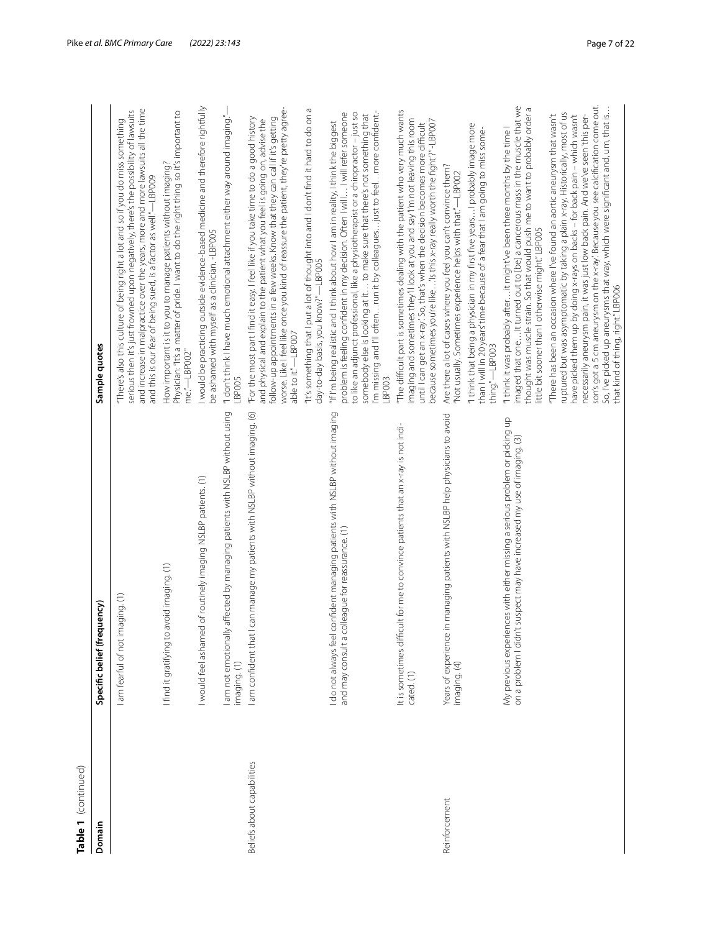| Table 1 (continued)        |                                                                                                                                                        |                                                                                                                                                                                                                                                                                                                                                                                                                                                                                                                                            |
|----------------------------|--------------------------------------------------------------------------------------------------------------------------------------------------------|--------------------------------------------------------------------------------------------------------------------------------------------------------------------------------------------------------------------------------------------------------------------------------------------------------------------------------------------------------------------------------------------------------------------------------------------------------------------------------------------------------------------------------------------|
| Domain                     | ency)<br>Specific belief (frequ                                                                                                                        | Sample quotes                                                                                                                                                                                                                                                                                                                                                                                                                                                                                                                              |
|                            | I am fearful of not imaging. (1)                                                                                                                       | and increase in malpractice over the years, more and more lawsuits all the time<br>serious then it's just frowned upon negatively, there's the possibility of lawsuits<br>"There's also this culture of being right a lot and so if you do miss something<br>and this is our fear of being sued, is a factor as well."—LBP009                                                                                                                                                                                                              |
|                            | I find it gratifying to avoid imaging. (1)                                                                                                             | Physician: "It's a matter of pride. I want to do the right thing so it's important to<br>How important is it to you to manage patients without imaging?<br>me"-LBP002"                                                                                                                                                                                                                                                                                                                                                                     |
|                            | of routinely imaging NSLBP patients. (1)<br>I would feel ashamed                                                                                       | I would be practicing outside evidence-based medicine and therefore rightfully<br>be ashamed with myself as a clinician. -LBP005                                                                                                                                                                                                                                                                                                                                                                                                           |
|                            | am not emotionally affected by managing patients with NSLBP without using<br>imaging. (1)                                                              | "I don't think I have much emotional attachment either way around imaging."<br>LBPOO5                                                                                                                                                                                                                                                                                                                                                                                                                                                      |
| Beliefs about capabilities | am confident that I can manage my patients with NSLBP without imaging. (6)                                                                             | worse. Like I feel like once you kind of reassure the patient, they're pretty agree-<br>"For the most part I find it easy. I feel like if you take time to do a good history<br>follow-up appointments in a few weeks. Know that they can call if it's getting<br>and physical and explain to the patient what you feel is going on, advise the<br>able to it."-LBP007                                                                                                                                                                     |
|                            |                                                                                                                                                        | "It's something that I put a lot of thought into and I don't find it hard to do on a<br>day-to-day basis, you know?"-LBP005                                                                                                                                                                                                                                                                                                                                                                                                                |
|                            | infident managing patients with NSLBP without imaging<br>league for reassurance. (1)<br>I do not always feel co<br>and may consult a col               | 'm missing and I'll oftenrun it by colleaguesjust to feelmore confident.-<br>to like an adjunct professional, like a physiotherapist or a chiropractor - just so<br>problem is feeling confident in my decision. Often I will  I will refer someone<br>somebody else is looking at it to make sure that there's not something that<br>"If I'm being realistic and I think about how I am in reality, I think the biggest<br>LBP003                                                                                                         |
|                            | It is sometimes difficult for me to convince patients that an x-ray is not indi-<br>cated.(1)                                                          | The difficult part is sometimes dealing with the patient who very much wants<br>imaging and sometimes they'll look at you and say'l'm not leaving this room<br>because sometimes you're like'Is this x-ray really worth the fight?"-LBP007<br>until I can get an x-ray. So, that's when the decision becomes more difficult                                                                                                                                                                                                                |
| Reinforcement              | managing patients with NSLBP help physicians to avoid<br>Years of experience in<br>imaging. (4)                                                        | Are there a lot of cases where you feel you can't convince them?<br>"Not usually. Sometimes experience helps with that."—LBP002                                                                                                                                                                                                                                                                                                                                                                                                            |
|                            |                                                                                                                                                        | "I think that being a physician in my first five years I probably image more<br>than I will in 20 years'time because of a fear that I am going to miss some-<br>thing."-LBP003                                                                                                                                                                                                                                                                                                                                                             |
|                            | My previous experiences with either missing a serious problem or picking up<br>on a problem I didn't suspect may have increased my use of imaging. (3) | imaged that one It turned out to [be] a cancerous mass in the muscle that we<br>thought was muscle strain. So that would push me to want to probably order a<br>"I think it was probably after it might've been three months by the time I<br>little bit sooner than I otherwise might."LBP005                                                                                                                                                                                                                                             |
|                            |                                                                                                                                                        | son's got a 5 cm aneurysm on the x-ray. Because you see calcification come out.<br>So, I've picked up aneurysms that way, which were significant and, um, that is<br>ruptured but was asymptomatic by taking a plain x-ray. Historically, most of us<br>have picked them up by doing x-rays on backs - for back pain - which wasn't<br>necessarily aneurysm pain, it was just low back pain. And we've seen 'this per-<br>"There has been an occasion where I've found an aortic aneurysm that wasn't<br>that kind of thing, right."LBP006 |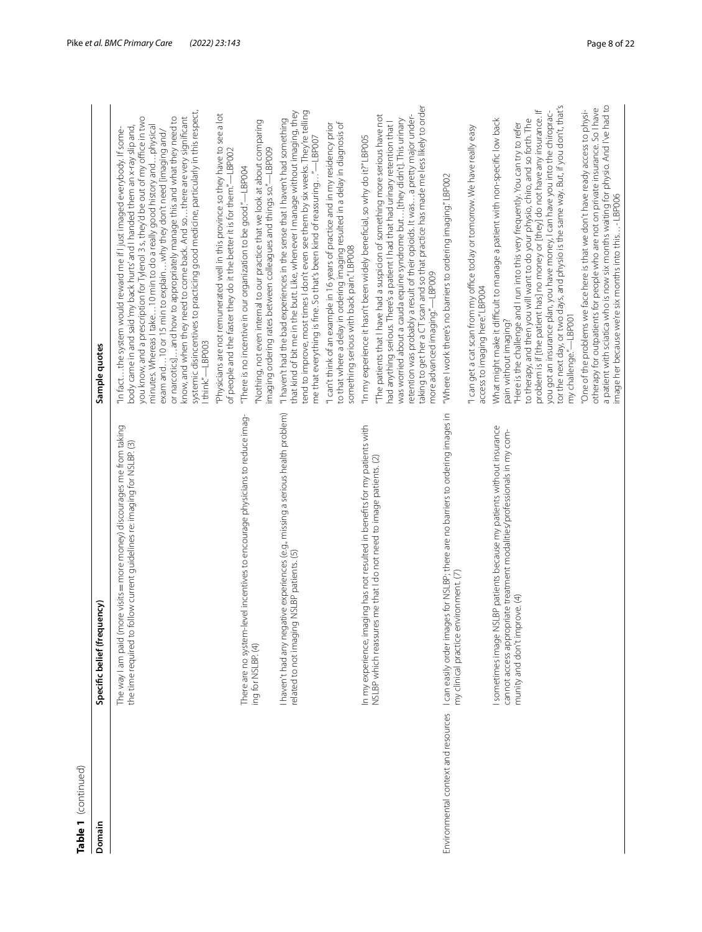| Table 1 (continued)                 |                                                                                                                                                          |                                                                                                                                                                                                                                                                                                                                                                                                                                                                                                                                                                                                                                                        |
|-------------------------------------|----------------------------------------------------------------------------------------------------------------------------------------------------------|--------------------------------------------------------------------------------------------------------------------------------------------------------------------------------------------------------------------------------------------------------------------------------------------------------------------------------------------------------------------------------------------------------------------------------------------------------------------------------------------------------------------------------------------------------------------------------------------------------------------------------------------------------|
| Domain                              | Specific belief (frequency)                                                                                                                              | Sample quotes                                                                                                                                                                                                                                                                                                                                                                                                                                                                                                                                                                                                                                          |
|                                     | ore visits = more money) discourages me from taking<br>the time required to follow current guidelines re: imaging for NSLBP. (3)<br>The way I am paid (m | systemic disincentives to practicing good medicine, particularly in this respect,<br>you know, and a prescription for Tylenol 3 s, they'd be out of my office in two<br>or narcotics]and how to appropriately manage this and what they need to<br>know, and when they need to come back. And so there are very significant<br>minutes. Whereas I take 10 min to do a really good history and physical<br>body came in and said 'my back hurts' and I handed them an x-ray slip and,<br>"In factthe system would reward me if I just imaged everybody. If some-<br>exam and10 or 15 min to explainwhy they don't need [imaging and/<br>Ithink."-LBP003 |
|                                     |                                                                                                                                                          | "Physicians are not remunerated well in this province so they have to see a lot<br>of people and the faster they do it the better it is for them."-LBP002                                                                                                                                                                                                                                                                                                                                                                                                                                                                                              |
|                                     | There are no system-level incentives to encourage physicians to reduce imag-<br>ing for NSLBP. (4)                                                       | "Nothing, not even internal to our practice that we look at about comparing<br>imaging ordering rates between colleagues and things so."-LBP009<br>"There is no incentive in our organization to be good."—LBP004                                                                                                                                                                                                                                                                                                                                                                                                                                      |
|                                     | I haven't had any negative experiences (e.g., missing a serious health problem)<br>related to not imaging NSLBP patients. (5)                            | that kind of bit me in the butt. Like, whenever I manage without imaging, they<br>tend to improve, most times I don't even see them by six weeks. They're telling<br>"I haven't had the bad experiences in the sense that I haven't had something<br>me that everything is fine. So that's been kind of reassuring"-LBP007                                                                                                                                                                                                                                                                                                                             |
|                                     |                                                                                                                                                          | to that where a delay in ordering imaging resulted in a delay in diagnosis of<br>"I can't think of an example in 16 years of practice and in my residency prior<br>something serious with back pain." LBP008                                                                                                                                                                                                                                                                                                                                                                                                                                           |
|                                     | In my experience, imaging has not resulted in benefits for my patients with                                                                              | "In my experience it hasn't been widely beneficial, so why do it?" LBP005                                                                                                                                                                                                                                                                                                                                                                                                                                                                                                                                                                              |
|                                     | NSLBP which reassures me that I do not need to image patients. (2)                                                                                       | aking to get her a CT scan and so that practice has made me less likely to order<br>The patients that I have had a suspicion of something more serious have not<br>retention was probably a result of their opioids. It was  a pretty major under-<br>was worried about a cauda equine syndrome but [they didn't]. This urinary<br>had anything serious. There's a patient I had that had urinary retention that I<br>more advanced imaging."-LBP009                                                                                                                                                                                                   |
| Environmental context and resources | jes for NSLBP; there are no barriers to ordering images in<br>my clinical practice environment. (7)<br>I can easily order imag                           | "Where I work there's no barriers to ordering imaging." LBP002                                                                                                                                                                                                                                                                                                                                                                                                                                                                                                                                                                                         |
|                                     |                                                                                                                                                          | "I can get a cat scan from my office today or tomorrow. We have really easy<br>access to imaging here."LBP004                                                                                                                                                                                                                                                                                                                                                                                                                                                                                                                                          |
|                                     | sometimes image NSLBP patients because my patients without insurance<br>cannot access appropriate treatment modalities/professionals in my com-          | What might make it difficult to manage a patient with non-specific low back<br>pain without imaging?                                                                                                                                                                                                                                                                                                                                                                                                                                                                                                                                                   |
|                                     | munity and don't improve. (4)                                                                                                                            | tor the next day, or two days, and physio is the same way. But, if you don't, that's<br>problem is if [the patient has] no money or [they] do not have any insurance. If<br>you got an insurance plan, you have money, I can have you into the chiroprac-<br>to therapy, and then you will want to do your physio, chiro, and so forth. The<br>"Here is the challenge and I run into this very frequently. You can try to refer<br>$-LBPOO1$<br>my challenge."-                                                                                                                                                                                        |
|                                     |                                                                                                                                                          | a patient with sciatica who is now six months waiting for physio. And I've had to<br>image her because we're six months into this…- LBP006<br>otherapy for outpatients for people who are not on private insurance. So I have<br>"One of the problems we face here is that we don't have ready access to physi-                                                                                                                                                                                                                                                                                                                                        |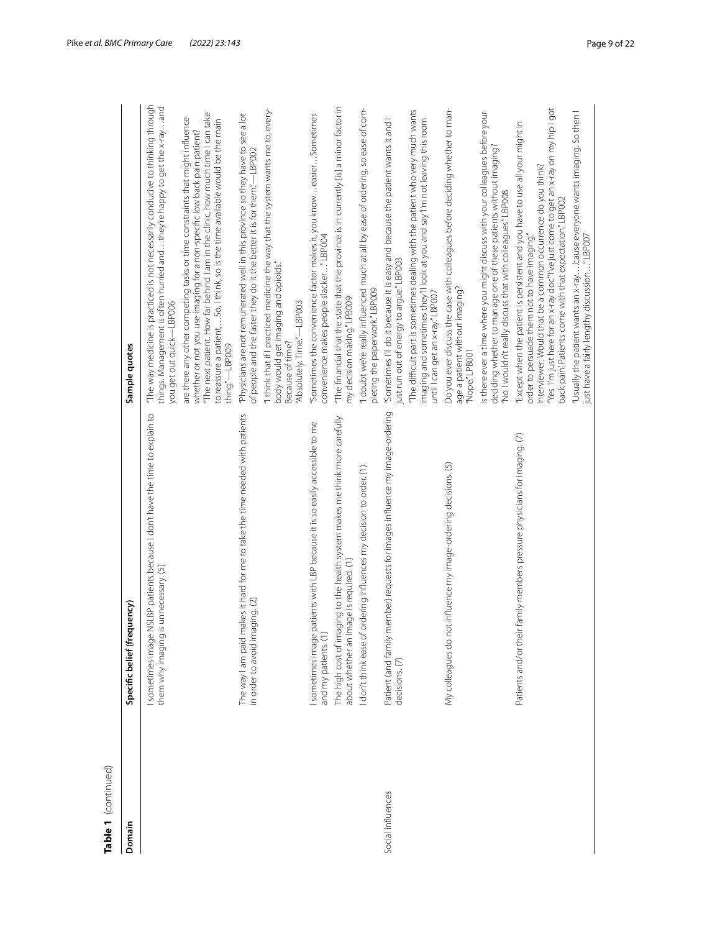| ă |
|---|
| 7 |
|   |
| ۳ |

| Table 1 (continued) |                                                                                                                              |                                                                                                                                                                                                                                                                                                                                                |
|---------------------|------------------------------------------------------------------------------------------------------------------------------|------------------------------------------------------------------------------------------------------------------------------------------------------------------------------------------------------------------------------------------------------------------------------------------------------------------------------------------------|
| Domain              | lency)<br>Specific belief (frequ                                                                                             | Sample quotes                                                                                                                                                                                                                                                                                                                                  |
|                     | SLBP patients because I don't have the time to explain to<br>unnecessary. (5)<br>them why imaging is<br>I sometimes image N. | "The way medicine is practiced is not necessarily conducive to thinking through<br>things. Management is often hurried and  they're happy to get the x-rayand<br>you get out quick-LBP006                                                                                                                                                      |
|                     |                                                                                                                              | "The next patient. How far behind I am in the clinic, how much time I can take<br>are there any other competing tasks or time constraints that might influence<br>to reassure a patient,So, I think, so is the time available would be the main<br>whether or not you use imaging for a non-specific low back pain patient?<br>thing."-LBP009  |
|                     | The way I am paid makes it hard for me to take the time needed with patients<br>in order to avoid imaging. (2)               | "Physicians are not remunerated well in this province so they have to see a lot<br>of people and the faster they do it the better it is for them."—LBP002                                                                                                                                                                                      |
|                     |                                                                                                                              | "I think that if I practiced medicine the way that the system wants me to, every-<br>body would get imaging and opioids."<br>"Absolutely. Time."-LBP003<br>Because of time?                                                                                                                                                                    |
|                     | sometimes image patients with LBP because it is so easily accessible to me<br>and my patients. (1)                           | "Sometimes the convenience factor makes it, you know  easier.  Sometimes<br>convenience makes people slacker"LBP004                                                                                                                                                                                                                            |
|                     | The high cost of imaging to the health system makes me think more carefully<br>about whether an image is required. (1)       | "The financial that the state that the province is in currently [is] a minor factor in<br>my decision making." LPB009                                                                                                                                                                                                                          |
|                     | I don't think ease of ordering influences my decision to order. (1)                                                          | "I doubt we're really influenced much at all by ease of ordering, so ease of com-<br>pleting the paperwork."LBP009                                                                                                                                                                                                                             |
| Social influences   | Patient (and family member) requests for images influence my image-ordering<br>decisions. (7)                                | "Sometimes I'll do it because it is easy and because the patient wants it and I<br>just run out of energy to argue."LBP003                                                                                                                                                                                                                     |
|                     |                                                                                                                              | "The difficult part is sometimes dealing with the patient who very much wants<br>imaging and sometimes they'll look at you and say'l'm not leaving this room<br>until I can get an x-ray.'LBP007                                                                                                                                               |
|                     | influence my image-ordering decisions. (5)<br>My colleagues do not                                                           | Do you ever discuss the case with colleagues before deciding whether to man-<br>age a patient without imaging?<br>"Nope."LPB001                                                                                                                                                                                                                |
|                     |                                                                                                                              | Is there ever a time where you might discuss with your colleagues before your<br>deciding whether to manage one of these patients without imaging?<br>"No I wouldn't really discuss that with colleagues." LBP008                                                                                                                              |
|                     | Patients and/or their family members pressure physicians for imaging. (7)                                                    | "Yes."I'm just here for an x-ray doc."I've just come to get an x-ray on my hip I got<br>"Except when the patient is persistent and you have to use all your might in<br>Interviewer: Would that be a common occurrence do you think?<br>back pain.'Patients come with that expectation."LBP002<br>order to persuade them not to have imaging." |
|                     |                                                                                                                              | "Usually the patient wants an x-ray…'.cause everyone wants imaging. So then l<br>just have a fairly lengthy discussion…" LBP007                                                                                                                                                                                                                |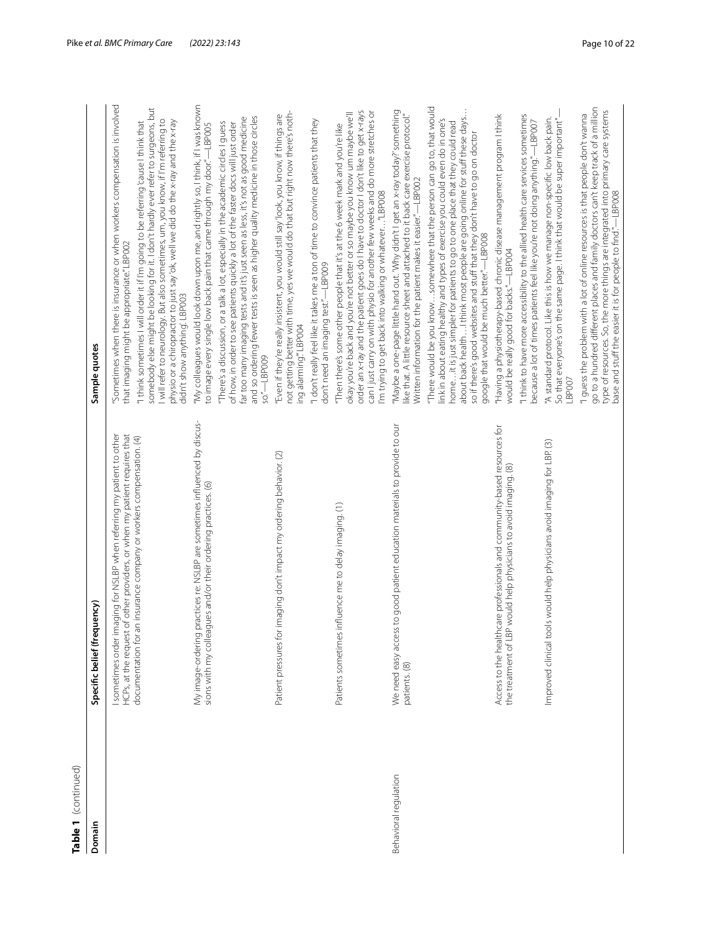| Table 1 (continued)   |                                                                                                                                                        |                                                                                                                                                                                                                                                                                                                                                                                                                                                   |
|-----------------------|--------------------------------------------------------------------------------------------------------------------------------------------------------|---------------------------------------------------------------------------------------------------------------------------------------------------------------------------------------------------------------------------------------------------------------------------------------------------------------------------------------------------------------------------------------------------------------------------------------------------|
| Domain                | <b>Thency</b><br>Specific belief (freq                                                                                                                 | Sample quotes                                                                                                                                                                                                                                                                                                                                                                                                                                     |
|                       | I sometimes order imaging for NSLBP when referring my patient to other<br>of other providers, or when my patient requires that<br>HCPs, at the request | Sometimes when there is insurance or when workers compensation is involved<br>that imaging might be appropriate."LBP002                                                                                                                                                                                                                                                                                                                           |
|                       | documentation for an insurance company or workers compensation. (4)                                                                                    | somebody else might be looking for it. I don't hardly ever refer to surgeons, but<br>I will refer to neurology. But also sometimes, um, you know, if I'm referring to physio or a chiropractor to just say'ok, well we did do the x-ray and the x-ray<br>"I think sometimes I will order it if I'm going to be referring 'cause I think that<br>didn't show anything'. LBP003                                                                     |
|                       | practices re: NSLBP are sometimes influenced by discus-<br>sions with my colleagues and/or their ordering practices. (6)<br>My image-ordering          | "My colleagues would look down upon me, and rightly so, I think, if I was known<br>to image every single low back pain that came through my door."-LBP005                                                                                                                                                                                                                                                                                         |
|                       |                                                                                                                                                        | and so ordering fewer tests is seen as higher quality medicine in those circles<br>far too many imaging tests and it's just seen as less, it's not as good medicine<br>"There's a discussion, or a talk a lot, especially in the academic circles I guess<br>of how, in order to see patients quickly a lot of the faster docs will just order<br>so."-LBP009                                                                                     |
|                       | imaging don't impact my ordering behavior. (2)<br>Patient pressures for                                                                                | not getting better with time, yes we would do that but right now there's noth-<br>"Even if they're really insistent, you would still say'look, you know, if things are<br>ing alarming" LBP004                                                                                                                                                                                                                                                    |
|                       |                                                                                                                                                        | "I don't really feel like it takes me a ton of time to convince patients that they<br>don't need an imaging test."-LBP009                                                                                                                                                                                                                                                                                                                         |
|                       | influence me to delay imaging. (1)<br>Patients sometimes                                                                                               | order an x-ray and the patient goes do I have to doctor I don't like to get x-rays<br>can I just carry on with physio for another few weeks and do more stretches or<br>okay you're back and you're not better or so maybe you know um maybe we'll<br>"Then there's some other people that it's at the 6 week mark and you're like<br>I'm trying to get back into walking or whatever"LBP008                                                      |
| Behavioral regulation | We need easy access to good patient education materials to provide to our<br>patients. (8)                                                             | "Maybe a one-page little hand out. 'Why didn't I get an x-ray today?' something<br>like that. A little resource sheet and attached to it back care exercise protocol."<br>Written information for the patient makes it easier."-LBP002                                                                                                                                                                                                            |
|                       |                                                                                                                                                        | "There would be you know somewhere that the person can go to, that would<br>about back healthI think most people are going online for stuff these days<br>link in about eating healthy and types of exercise you could even do in one's<br>homeit is just simpler for patients to go to one place that they could read<br>so if there's good websites and stuff that they don't have to go on doctor<br>google that would be much better."-LBP008 |
|                       | Access to the healthcare professionals and community-based resources for<br>the treatment of LBP would help physicians to avoid imaging. (8)           | "Having a physiotherapy-based chronic disease management program I think<br>would be really good for backs."-LBP004                                                                                                                                                                                                                                                                                                                               |
|                       |                                                                                                                                                        | "I think to have more accessibility to the allied health care services sometimes<br>because a lot of times patients feel like you're not doing anything."—LBP007                                                                                                                                                                                                                                                                                  |
|                       | Improved clinical tools would help physicians avoid imaging for LBP. (3)                                                                               | "A standard protocol. Like this is how we manage non-specific low back pain.<br>So that everyone's on the same page. I think that would be super important"<br>LBP007                                                                                                                                                                                                                                                                             |
|                       |                                                                                                                                                        | go to a hundred different places and family doctors can't keep track of a million<br>type of resources. So, the more things are integrated into primary care systems<br>base and stuff the easier it is for people to find."—LBP008<br>"I quess the problem with a lot of online resources is that people don't wanna                                                                                                                             |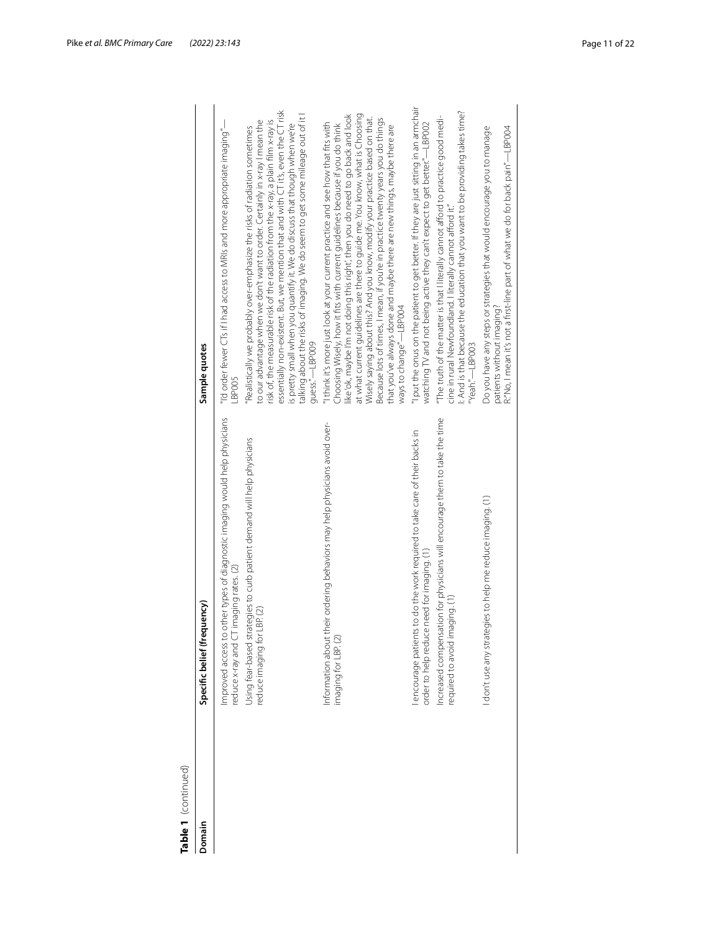| c |
|---|
| α |
|   |
|   |
|   |
|   |
|   |

| Table 1 (continued) |                                                                                                                         |                                                                                                                                                                                                                                                                                                                                                                                                                                                                                                                                                                                                            |
|---------------------|-------------------------------------------------------------------------------------------------------------------------|------------------------------------------------------------------------------------------------------------------------------------------------------------------------------------------------------------------------------------------------------------------------------------------------------------------------------------------------------------------------------------------------------------------------------------------------------------------------------------------------------------------------------------------------------------------------------------------------------------|
| Domain              | Specific belief (frequency)                                                                                             | Sample quotes                                                                                                                                                                                                                                                                                                                                                                                                                                                                                                                                                                                              |
|                     | Improved access to other types of diagnostic imaging would help physicians<br>reduce x-ray and CT imaging rates. (2)    | "I'd order fewer CTs if I had access to MRIs and more appropriate imaging"—<br>$-BPOOS$                                                                                                                                                                                                                                                                                                                                                                                                                                                                                                                    |
|                     | Using fear-based strategies to curb patient demand will help physicians<br>LBP(2)<br>reduce imaging for                 | essentially non-existent. But, we mention that and with CT it's, even the CT risk<br>talking about the risks of imaging. We do seem to get some mileage out of it l<br>risk of, the measurable risk of the radiation from the x-ray, a plain film x-ray is<br>to our advantage when we don't want to order. Certainly in x-ray I mean the<br>is pretty small when you quantify it. We do discuss that though when we're<br>"Realistically we probably over-emphasize the risks of radiation sometimes<br>guess."-LBP009                                                                                    |
|                     | Information about their ordering behaviors may help physicians avoid over-<br>imaging for LBP. (2)                      | at what current guidelines are there to guide me. You know, what is Choosing<br>like 'ok, maybe I'm not doing this right', then you do need to go back and look<br>Wisely saying about this? And you know, modify your practice based on that.<br>Because lots of times, I mean, if you're in practice twenty years you do things<br>"I think it's more just look at your current practice and see how that fits with<br>Choosing Wisely, how it fits with current guidelines because if you do think<br>that you've always done and maybe there are new things, maybe there are<br>ways to change"—LBP004 |
|                     | encourage patients to do the work required to take care of their backs in<br>order to help reduce need for imaging. (1) | "I put the onus on the patient to get better. If they are just sitting in an armchair<br>watching TV and not being active they can't expect to get better."-LBP002                                                                                                                                                                                                                                                                                                                                                                                                                                         |
|                     | Increased compensation for physicians will encourage them to take the time<br>required to avoid imaging. (1)            | I: And is that because the education that you want to be providing takes time?<br>"The truth of the matter is that I literally cannot afford to practice good medi-<br>cine in rural Newfoundland. I literally cannot afford it."<br>"Yeah."-LBP003                                                                                                                                                                                                                                                                                                                                                        |
|                     | I don't use any strategies to help me reduce imaging. (1)                                                               | R:"No, I mean it's not a first-line part of what we do for back pain"—LBP004<br>Do you have any steps or strategies that would encourage you to manage<br>patients without imaging?                                                                                                                                                                                                                                                                                                                                                                                                                        |
|                     |                                                                                                                         |                                                                                                                                                                                                                                                                                                                                                                                                                                                                                                                                                                                                            |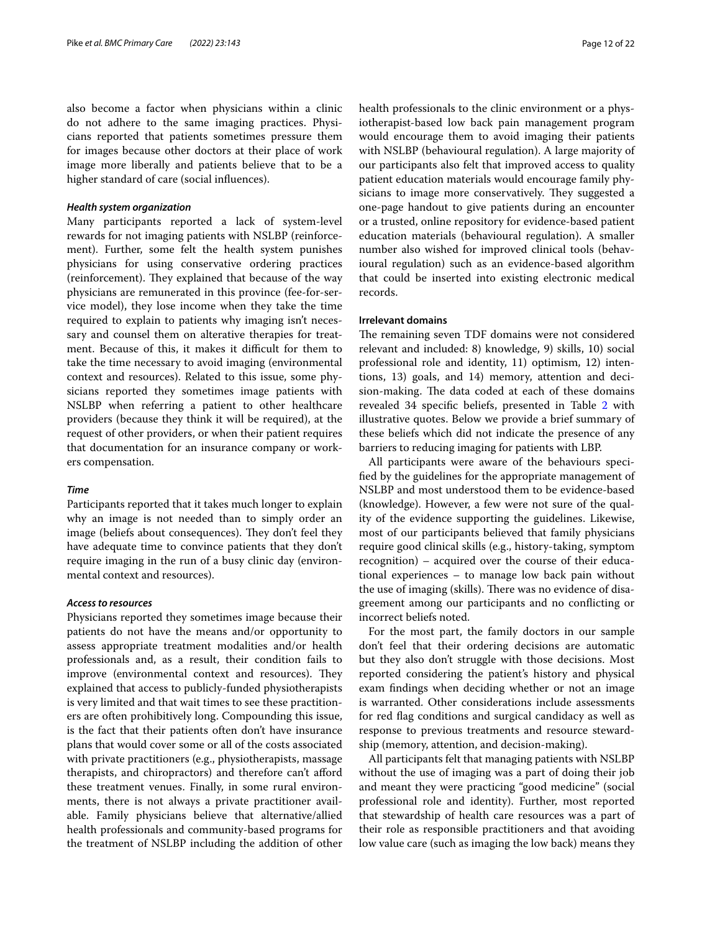also become a factor when physicians within a clinic do not adhere to the same imaging practices. Physicians reported that patients sometimes pressure them for images because other doctors at their place of work image more liberally and patients believe that to be a higher standard of care (social infuences).

### *Health system organization*

Many participants reported a lack of system-level rewards for not imaging patients with NSLBP (reinforcement). Further, some felt the health system punishes physicians for using conservative ordering practices (reinforcement). They explained that because of the way physicians are remunerated in this province (fee-for-service model), they lose income when they take the time required to explain to patients why imaging isn't necessary and counsel them on alterative therapies for treatment. Because of this, it makes it difficult for them to take the time necessary to avoid imaging (environmental context and resources). Related to this issue, some physicians reported they sometimes image patients with NSLBP when referring a patient to other healthcare providers (because they think it will be required), at the request of other providers, or when their patient requires that documentation for an insurance company or workers compensation.

### *Time*

Participants reported that it takes much longer to explain why an image is not needed than to simply order an image (beliefs about consequences). They don't feel they have adequate time to convince patients that they don't require imaging in the run of a busy clinic day (environmental context and resources).

# *Access to resources*

Physicians reported they sometimes image because their patients do not have the means and/or opportunity to assess appropriate treatment modalities and/or health professionals and, as a result, their condition fails to improve (environmental context and resources). They explained that access to publicly-funded physiotherapists is very limited and that wait times to see these practitioners are often prohibitively long. Compounding this issue, is the fact that their patients often don't have insurance plans that would cover some or all of the costs associated with private practitioners (e.g., physiotherapists, massage therapists, and chiropractors) and therefore can't aford these treatment venues. Finally, in some rural environments, there is not always a private practitioner available. Family physicians believe that alternative/allied health professionals and community-based programs for the treatment of NSLBP including the addition of other health professionals to the clinic environment or a physiotherapist-based low back pain management program would encourage them to avoid imaging their patients with NSLBP (behavioural regulation). A large majority of our participants also felt that improved access to quality patient education materials would encourage family physicians to image more conservatively. They suggested a one-page handout to give patients during an encounter or a trusted, online repository for evidence-based patient education materials (behavioural regulation). A smaller number also wished for improved clinical tools (behavioural regulation) such as an evidence-based algorithm that could be inserted into existing electronic medical records.

### **Irrelevant domains**

The remaining seven TDF domains were not considered relevant and included: 8) knowledge, 9) skills, 10) social professional role and identity, 11) optimism, 12) intentions, 13) goals, and 14) memory, attention and decision-making. The data coded at each of these domains revealed 34 specifc beliefs, presented in Table [2](#page-12-0) with illustrative quotes. Below we provide a brief summary of these beliefs which did not indicate the presence of any barriers to reducing imaging for patients with LBP.

All participants were aware of the behaviours specifed by the guidelines for the appropriate management of NSLBP and most understood them to be evidence-based (knowledge). However, a few were not sure of the quality of the evidence supporting the guidelines. Likewise, most of our participants believed that family physicians require good clinical skills (e.g., history-taking, symptom recognition) – acquired over the course of their educational experiences – to manage low back pain without the use of imaging (skills). There was no evidence of disagreement among our participants and no conficting or incorrect beliefs noted.

For the most part, the family doctors in our sample don't feel that their ordering decisions are automatic but they also don't struggle with those decisions. Most reported considering the patient's history and physical exam fndings when deciding whether or not an image is warranted. Other considerations include assessments for red fag conditions and surgical candidacy as well as response to previous treatments and resource stewardship (memory, attention, and decision-making).

All participants felt that managing patients with NSLBP without the use of imaging was a part of doing their job and meant they were practicing "good medicine" (social professional role and identity). Further, most reported that stewardship of health care resources was a part of their role as responsible practitioners and that avoiding low value care (such as imaging the low back) means they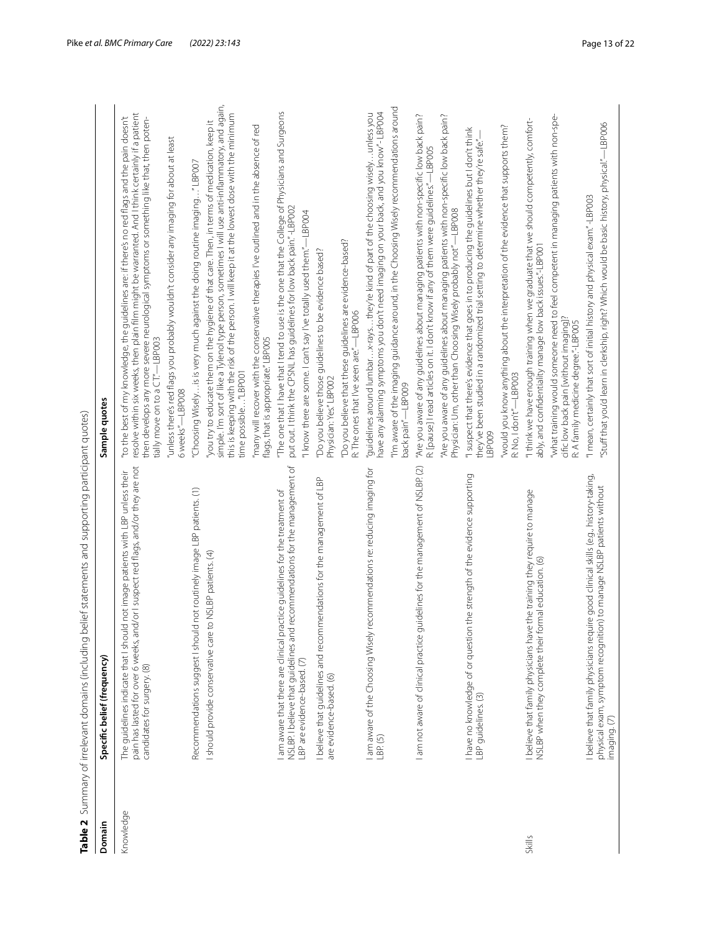<span id="page-12-0"></span>

| Domain    | Table 2 Summary of irrelevant domains (including belief statements and supporting participant quotes)<br>Specific belief (frequency)                                                                   | Sample quotes                                                                                                                                                                                                                                                                                                                   |
|-----------|--------------------------------------------------------------------------------------------------------------------------------------------------------------------------------------------------------|---------------------------------------------------------------------------------------------------------------------------------------------------------------------------------------------------------------------------------------------------------------------------------------------------------------------------------|
|           |                                                                                                                                                                                                        |                                                                                                                                                                                                                                                                                                                                 |
| Knowledge | pain has lasted for over 6 weeks, and/or I suspect red flags, and/or they are not<br>Id not image patients with LBP unless their<br>The quidelines indicate that I shou<br>candidates for surgery. (8) | resolve within six weeks, then plain film might be warranted. And I think certainly if a patient<br>"to the best of my knowledge, the guidelines are: if there's no red flags and the pain doesn't<br>then develops any more severe neurological symptoms or something like that, then poten-<br>tially move on to a CT"-LBP003 |
|           |                                                                                                                                                                                                        | "unless there's red flags you probably wouldn't consider any imaging for about at least<br>6 weeks"-LBP008                                                                                                                                                                                                                      |
|           | Recommendations suggest I should not routinely image LBP patients. (1)                                                                                                                                 | "Choosing Wiselyis is very much against the doing routine imaging"LBP007                                                                                                                                                                                                                                                        |
|           | to NSLBP patients. (4)<br>I should provide conservative care                                                                                                                                           | simple. I'm sort of like a Tylenol type person, sometimes I will use anti-inflammatory, and again,<br>this is keeping with the risk of the person. I will keep it at the lowest dose with the minimum<br>you try to educate them on the hygiene of that care. Then, in terms of medication, keep it<br>time possible"LBP001     |
|           |                                                                                                                                                                                                        | "many will recover with the conservative therapies I've outlined and in the absence of red<br>flags, that is appropriate."LBP005                                                                                                                                                                                                |
|           | d recommendations for the management of<br>I am aware that there are clinical practice guidelines for the treatment of<br>NSLBP. I believe that guidelines and                                         | "The one that I have that I tend to use is the one that the College of Physicians and Surgeons<br>put out. I think the CPSNL has guidelines for low back pain." -LBP002                                                                                                                                                         |
|           | LBP are evidence-based. (7)                                                                                                                                                                            | "I know there are some. I can't say I've totally used them."—LBP004                                                                                                                                                                                                                                                             |
|           | I believe that guidelines and recommendations for the management of LBP<br>are evidence-based. (6)                                                                                                     | "Do you believe those guidelines to be evidence based?<br>Physician: Yes."LBP002                                                                                                                                                                                                                                                |
|           |                                                                                                                                                                                                        | "Do you believe that these guidelines are evidence-based?<br>R: The ones that I've seen are."-LBP006                                                                                                                                                                                                                            |
|           | recommendations re: reducing imaging for<br>I am aware of the Choosing Wisely<br>LBP. (5)                                                                                                              | have any alarming symptoms you don't need imaging on your back, and you know"- LBP004<br>"guidelines around lumbar x-raysthey're kind of part of the choosing wiselyunless you                                                                                                                                                  |
|           |                                                                                                                                                                                                        | "I'm aware of the imaging guidance around, in the Choosing Wisely recommendations around<br>back pain"-LBP009                                                                                                                                                                                                                   |
|           | I am not aware of clinical practice guidelines for the management of NSLBP.(2)                                                                                                                         | "Are you aware of any guidelines about managing patients with non-specific low back pain?<br>R: [pause] I read articles on it. I don't know if any of them were guidelines."—LBP005                                                                                                                                             |
|           |                                                                                                                                                                                                        | 'Are you aware of any guidelines about managing patients with non-specific low back pain?<br>Physician: Um, other than Choosing Wisely probably not"—LBP008                                                                                                                                                                     |
|           | I have no knowledge of or question the strength of the evidence supporting<br>LBP guidelines. (3)                                                                                                      | "I suspect that there's evidence that goes in to producing the guidelines but I don't think<br>they've been studied in a randomized trial setting to determine whether they're safe."<br>LBP009                                                                                                                                 |
|           |                                                                                                                                                                                                        | "would you know anything about the interpretation of the evidence that supports them?<br>R: No, I don't"-LBP003                                                                                                                                                                                                                 |
| Skills    | I believe that family physicians have the training they require to manage<br>NSLBP when they complete their formal education. (6)                                                                      | "I think we have enough training when we graduate that we should competently, comfort-<br>ably, and confidentiality manage low back issues."-LBP001                                                                                                                                                                             |
|           |                                                                                                                                                                                                        | "what training would someone need to feel competent in managing patients with non-spe-<br>cific low back pain [without imaging]?<br>R: A family medicine degree."-LBP005                                                                                                                                                        |
|           | I believe that family physicians require good clinical skills (e.g., history-taking,<br>physical exam, symptom recognition) to manage NSLBP patients without<br>imaging. (7)                           | "stuff that you'd learn in clerkship, right? Which would be basic history, physical."—LBP006<br>"I mean, certainly that sort of initial history and physical exam."-LBP003                                                                                                                                                      |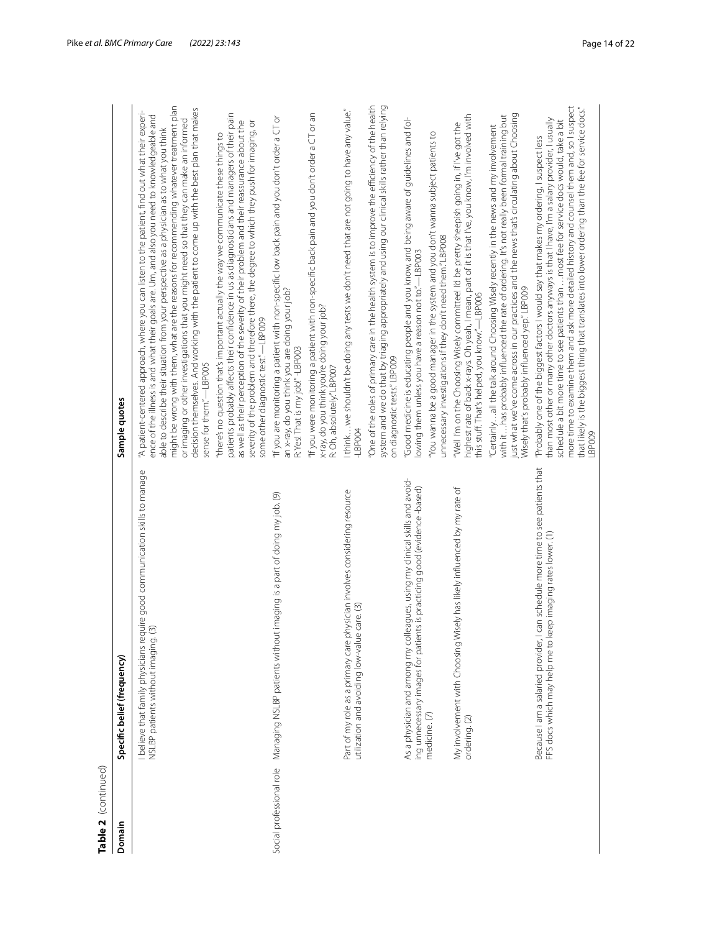| Table 2 (continued)      |                                                                                                                                                               |                                                                                                                                                                                                                                                                                                                                                                                                                                                                                                                                                                                                             |
|--------------------------|---------------------------------------------------------------------------------------------------------------------------------------------------------------|-------------------------------------------------------------------------------------------------------------------------------------------------------------------------------------------------------------------------------------------------------------------------------------------------------------------------------------------------------------------------------------------------------------------------------------------------------------------------------------------------------------------------------------------------------------------------------------------------------------|
| Domain                   | Specific belief (frequency)                                                                                                                                   | Sample quotes                                                                                                                                                                                                                                                                                                                                                                                                                                                                                                                                                                                               |
|                          | I believe that family physicians require good communication skills to manage<br>NSLBP patients without imaging. (3)                                           | might be wrong with them, what are the reasons for recommending whatever treatment plan<br>decision themselves. And working with the patient to come up with the best plan that makes<br>"A patient-centered approach, where you can listen to the patient, find out what their experi-<br>ence of the illness is and what their goals are. Um, and also you need to knowledgeable and<br>or imaging or other investigations that you might need so that they can make an informed<br>able to describe their situation from your perspective as a physician as to what you think<br>sense for them."-LBP005 |
|                          |                                                                                                                                                               | patients probably affects their confidence in us as diagnosticians and managers of their pain<br>as well as their perception of the severity of their problem and their reassurance about the<br>severity of the problem and therefore there, the degree to which they push for imaging, or<br>"there's no question that's important actually the way we communicate these things to<br>some other diagnostic test."-LBP009                                                                                                                                                                                 |
| Social professional role | Managing NSLBP patients without imaging is a part of doing my job. (9)                                                                                        | "If you are monitoring a patient with non-specific low back pain and you don't order a CT or<br>an x-ray, do you think you are doing your job?<br>R: Yes! That is my job!"-LBP003                                                                                                                                                                                                                                                                                                                                                                                                                           |
|                          |                                                                                                                                                               | "If you were monitoring a patient with non-specific back pain and you don't order a CT or an<br>x-ray, do you think you're doing your job?<br>R: Oh, absolutely." LBP007                                                                                                                                                                                                                                                                                                                                                                                                                                    |
|                          | Part of my role as a primary care physician involves considering resource<br>utilization and avoiding low-value care. (3)                                     | I think we shouldn't be doing any tests we don't need that are not going to have any value."<br>$-LEPOO4$                                                                                                                                                                                                                                                                                                                                                                                                                                                                                                   |
|                          |                                                                                                                                                               | 'One of the roles of primary care in the health system is to improve the efficiency of the health<br>system and we do that by triaging appropriately and using our clinical skills rather than relying<br>on diagnostic tests."LBP009                                                                                                                                                                                                                                                                                                                                                                       |
|                          | gues, using my clinical skills and avoid-<br>is practicing good (evidence-based)<br>As a physician and among my collea<br>ing unnecessary images for patients | "Good medicine is educating people and you know, and being aware of guidelines and fol-<br>owing them unless you have a reason not to."-LBP003                                                                                                                                                                                                                                                                                                                                                                                                                                                              |
|                          | medicine. (7)                                                                                                                                                 | You wanna be a good manager in the system and you don't wanna subject patients to<br>unnecessary investigations if they don't need them."LBP008                                                                                                                                                                                                                                                                                                                                                                                                                                                             |
|                          | My involvement with Choosing Wisely has likely influenced by my rate of<br>ordering. (2)                                                                      | highest rate of back x-rays. Oh yeah, I mean, part of it is that I've, you know, I'm involved with<br>"Well I'm on the Choosing Wisely committee! I'd be pretty sheepish going in, if I've got the<br>this stuff. That's helped, you know."-LBP006                                                                                                                                                                                                                                                                                                                                                          |
|                          |                                                                                                                                                               | with it…has probably influenced the rate of ordering. It's not really been formal training but<br>Just what we've come across in our practices and the news that's circulating about Choosing<br>"Certainlyall the talk around Choosing Wisely recently in the news and my involvement<br>Wisely that's probably influenced yep." LBP009                                                                                                                                                                                                                                                                    |
|                          | Because I am a salaried provider, I can schedule more time to see patients that<br>FFS docs which may help me to keep imaging rates lower. (1)                | more time to examine them and ask more detailed history and counsel them and, so I suspect<br>that likely is the biggest thing that translates into lower ordering than the fee for service docs."<br>than most other or many other doctors anyways is that I have, I'm a salary provider, I usually<br>schedule a bit more time to see patients than  most fee for service docs would, take a bit<br>"Probably one of the biggest factors I would say that makes my ordering, I suspect less<br>LBP009                                                                                                     |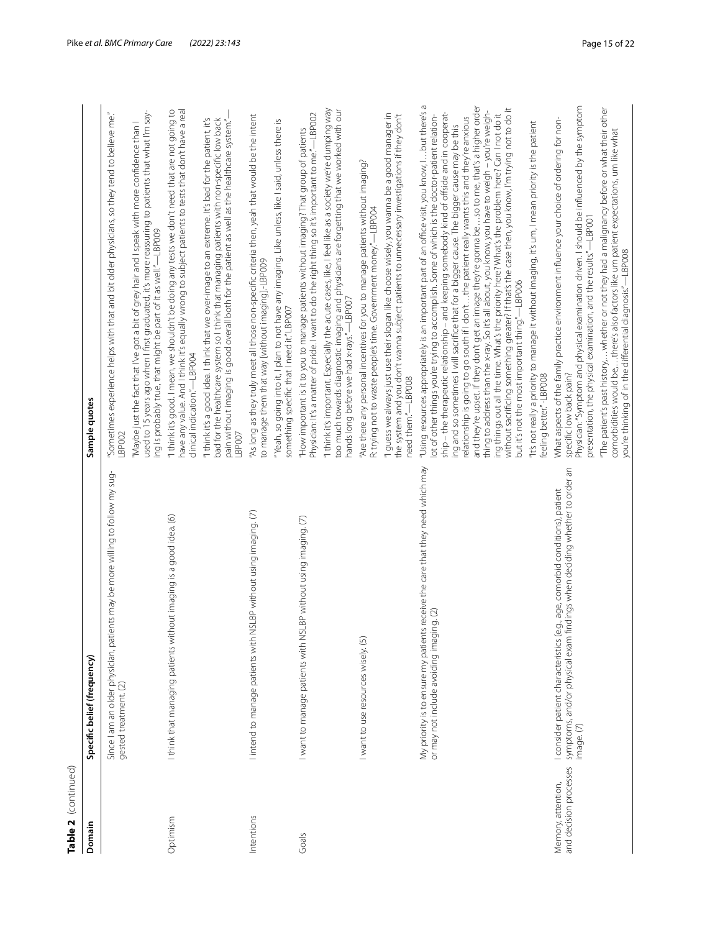| Table 2  (continued)                         |                                                                                                                                                                                 |                                                                                                                                                                                                                                                                                                                                                                                                                                                                                                                                                                                                                                                                                                                                                                                                                                                                                                                                                                     |
|----------------------------------------------|---------------------------------------------------------------------------------------------------------------------------------------------------------------------------------|---------------------------------------------------------------------------------------------------------------------------------------------------------------------------------------------------------------------------------------------------------------------------------------------------------------------------------------------------------------------------------------------------------------------------------------------------------------------------------------------------------------------------------------------------------------------------------------------------------------------------------------------------------------------------------------------------------------------------------------------------------------------------------------------------------------------------------------------------------------------------------------------------------------------------------------------------------------------|
| Domain                                       | Specific belief (frequency)                                                                                                                                                     | Sample quotes                                                                                                                                                                                                                                                                                                                                                                                                                                                                                                                                                                                                                                                                                                                                                                                                                                                                                                                                                       |
|                                              | Since I am an older physician, patients may be more willing to follow my sug-<br>gested treatment. (2)                                                                          | "Sometimes experience helps with that and bit older physicians, so they tend to believe me."<br>LBP002                                                                                                                                                                                                                                                                                                                                                                                                                                                                                                                                                                                                                                                                                                                                                                                                                                                              |
|                                              |                                                                                                                                                                                 | used to 15 years ago when I first graduated, it's more reassuring to patients that what I'm say-<br>"Maybe just the fact that I've got a bit of grey hair and I speak with more confidence than I<br>ing is probably true, that might be part of it as well."-LBP009                                                                                                                                                                                                                                                                                                                                                                                                                                                                                                                                                                                                                                                                                                |
| Optimism                                     | I think that managing patients without imaging is a good idea. (6)                                                                                                              | have any value. And I think it's equally wrong to subject patients to tests that don't have a real<br>"I think it's good. I mean, we shouldn't be doing any tests we don't need that are not going to<br>clinical indication."-LBP004                                                                                                                                                                                                                                                                                                                                                                                                                                                                                                                                                                                                                                                                                                                               |
|                                              |                                                                                                                                                                                 | "I think it's a good idea. I think that we over-image to an extreme. It's bad for the patient, it's<br>bad for the healthcare system so I think that managing patients with non-specific low back<br>pain without imaging is good overall both for the patient as well as the healthcare system."<br>LBP007                                                                                                                                                                                                                                                                                                                                                                                                                                                                                                                                                                                                                                                         |
| Intentions                                   | ISLBP without using imaging. (7)<br>lintend to manage patients with N                                                                                                           | "As long as they truly meet all those non-specific criteria then, yeah that would be the intent<br>to manage them that way [without imaging].-LBP009                                                                                                                                                                                                                                                                                                                                                                                                                                                                                                                                                                                                                                                                                                                                                                                                                |
|                                              |                                                                                                                                                                                 | "Yeah, so going into it, I plan to not have any imaging. Like unless, like I said, unless there is<br>something specific that I need it."LBP007                                                                                                                                                                                                                                                                                                                                                                                                                                                                                                                                                                                                                                                                                                                                                                                                                     |
| Goals                                        | I want to manage patients with NSLBP without using imaging. (7)                                                                                                                 | Physician: It's a matter of pride. I want to do the right thing so it's important to me."-LBP002<br>"How important is it to you to manage patients without imaging? That group of patients                                                                                                                                                                                                                                                                                                                                                                                                                                                                                                                                                                                                                                                                                                                                                                          |
|                                              |                                                                                                                                                                                 | "I think it's important. Especially the acute cases, like, I feel like as a society we're dumping way<br>too much towards diagnostic imaging and physicians are forgetting that we worked with our<br>hands long before we had x-rays."—LBP007                                                                                                                                                                                                                                                                                                                                                                                                                                                                                                                                                                                                                                                                                                                      |
|                                              | I want to use resources wisely. (5)                                                                                                                                             | "Are there any personal incentives for you to manage patients without imaging?<br>R: trying not to waste people's time. Government money.'-LBP004                                                                                                                                                                                                                                                                                                                                                                                                                                                                                                                                                                                                                                                                                                                                                                                                                   |
|                                              |                                                                                                                                                                                 | "I guess we always just use their slogan like choose wisely, you wanna be a good manager in<br>the system and you don't wanna subject patients to unnecessary investigations if they don't<br>need them."-LBP008                                                                                                                                                                                                                                                                                                                                                                                                                                                                                                                                                                                                                                                                                                                                                    |
|                                              | s receive the care that they need which may<br>or may not include avoiding imaging. (2)<br>My priority is to ensure my patient                                                  | 6<br>and they're upset. If they don't get an image they're gonna beso to me, that's a higher order<br>without sacrificing something greater? If that's the case then, you know, I'm trying not to do it<br>thing to address than the x-ray. So it's all about, you know, you have to weigh - you're weigh-<br>"Using resources appropriately is an important part of an office visit, you know, i but there's<br>ship - the therapeutic relationship - and keeping somebody kind of offside and in cooperat-<br>ing things out all the time. What's the priority here? What's the problem here? Can I not do it<br>lot of other things you're trying to accomplish. Some of which is the doctor-patient relation-<br>relationship is going to go south if I don'tthe patient really wants this and they're anxious<br>ing and so sometimes I will sacrifice that for a bigger cause. The bigger cause may be this<br>but it's not the most important thing."-LBP006 |
|                                              |                                                                                                                                                                                 | "It's not really a priority to manage it without imaging, it's um, I mean priority is the patient<br>feeling better."-LBP008                                                                                                                                                                                                                                                                                                                                                                                                                                                                                                                                                                                                                                                                                                                                                                                                                                        |
| and decision processes<br>Memory, attention, | ndings when deciding whether to order an<br>.g., age, comorbid conditions), patient<br>I consider patient characteristics (e<br>symptoms, and/or physical exam fi<br>image. (7) | Physician: "Symptom and physical examination driven. I should be influenced by the symptom<br>What aspects of the family practice environment influence your choice of ordering for non-<br>presentation, the physical examination, and the results."-LBP001<br>specific low back pain?                                                                                                                                                                                                                                                                                                                                                                                                                                                                                                                                                                                                                                                                             |
|                                              |                                                                                                                                                                                 | "The patient's past history, whether or not they had a malignancy before or what their other<br>comorbidities would be,there's also factors like um patient expectations, um like what<br>you're thinking of in the differential diagnosis."—LBP008                                                                                                                                                                                                                                                                                                                                                                                                                                                                                                                                                                                                                                                                                                                 |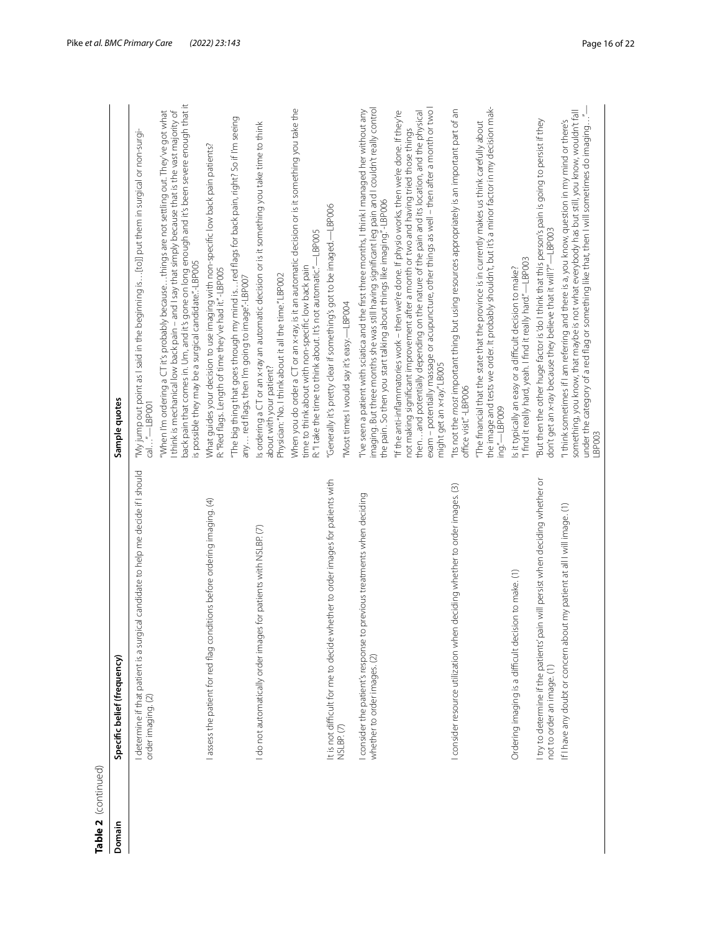| 5 |
|---|
|   |
|   |
|   |
| r |
|   |

| Table 2 (continued) |                                                                                                              |                                                                                                                                                                                                                                                                                                                                                                                                                        |
|---------------------|--------------------------------------------------------------------------------------------------------------|------------------------------------------------------------------------------------------------------------------------------------------------------------------------------------------------------------------------------------------------------------------------------------------------------------------------------------------------------------------------------------------------------------------------|
| Domain              | Specific belief (frequency)                                                                                  | Sample quotes                                                                                                                                                                                                                                                                                                                                                                                                          |
|                     | I determine if that patient is a surgical candidate to help me decide if I should<br>order imaging. (2)      | "My jump out point as I said in the beginning is [to]] put them in surgical or non-surgi-<br>cal"-LBP001                                                                                                                                                                                                                                                                                                               |
|                     |                                                                                                              | back pain that comes in. Um, and it's gone on long enough and it's been severe enough that it<br>think is mechanical low back pain - and I say that simply because that is the vast majority of<br>"When I'm ordering a CT it's probably becausethings are not settling out. They've got what<br>is possible they may be a surgical candidate."-LBP005                                                                 |
|                     | l assess the patient for red flag conditions before ordering imaging. (4)                                    | What guides your decision to use imaging with non-specific low back pain patients?<br>R: "Red flags. Length of time they've had it." -LBP005                                                                                                                                                                                                                                                                           |
|                     |                                                                                                              | "The big thing that goes through my mind isred flags for back pain, right? So if I'm seeing<br>any  red flags, then I'm going to image"-LBP007                                                                                                                                                                                                                                                                         |
|                     | for patients with NSLBP. (7)<br>I do not automatically order images                                          | Is ordering a CT or an x-ray an automatic decision or is it something you take time to think<br>Physician: "No. I think about it all the time." LBP002<br>about with your patient?                                                                                                                                                                                                                                     |
|                     |                                                                                                              | When you do order a CT or an x-ray, is it an automatic decision or is it something you take the<br>R: "I take the time to think about. It's not automatic."-LBP005<br>time to think about with non-specific low back pain                                                                                                                                                                                              |
|                     | nether to order images for patients with<br>It is not difficult for me to decide wh                          | "Generally it's pretty clear if something's got to be imaged.—LBP006                                                                                                                                                                                                                                                                                                                                                   |
|                     | NSLBP. (7)                                                                                                   | 'Most times I would say it's easy.-LBP004                                                                                                                                                                                                                                                                                                                                                                              |
|                     | I consider the patient's response to previous treatments when deciding<br>whether to order images. (2)       | imaging. But three months she was still having significant leg pain and I couldn't really control<br>"I've seen a patient with sciatica and the first three months, I think I managed her without any<br>the pain. So then you start talking about things like imaging."-LBP006                                                                                                                                        |
|                     |                                                                                                              | exam - potentially massage or acupuncture, other things as well - then after a month or two l<br>"If the anti-inflammatories work – then we're done. If physio works, then we're done. If they're<br>then and potentially depending on the nature of the pain and its location, and the physical<br>not making significant improvement after a month or two and having tried those things<br>might get an x-ray" LB005 |
|                     | deciding whether to order images. (3)<br>I consider resource utilization when                                | "Its not the most important thing but using resources appropriately is an important part of an<br>office visit."-LBP006                                                                                                                                                                                                                                                                                                |
|                     |                                                                                                              | the image and tests we order. It probably shouldn't, but it's a minor factor in my decision mak-<br>"The financial that the state that the province is in currently makes us think carefully about<br>ing."-LBP009                                                                                                                                                                                                     |
|                     | ion to make. (1)<br>Ordering imaging is a difficult decisi                                                   | "I find it really hard, yeah. I find it really hard."—LBP003<br>is it typically an easy or a difficult decision to make?                                                                                                                                                                                                                                                                                               |
|                     | I try to determine if the patients' pain will persist when deciding whether or<br>not to order an image. (1) | "But then the other huge factor is 'do I think that this person's pain is going to persist if they<br>don't get an x-ray because they believe that it will'?"-LBP003                                                                                                                                                                                                                                                   |
|                     | If I have any doubt or concern about my patient at all I will image. (1)                                     | something, you know, that maybe is not what everybody has but still, you know, wouldn't fall<br>under the category of a red flag or something like that, then I will sometimes do imaging"<br>"I think sometimes if I am referring and there is a, you know, question in my mind or there's<br><b>I</b> BP003                                                                                                          |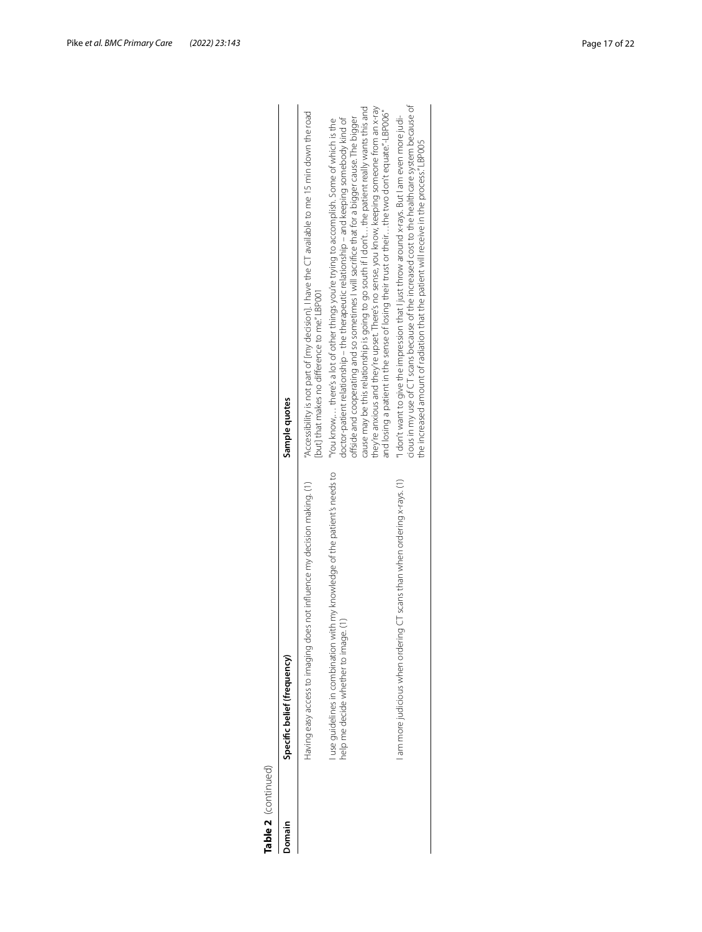| Domain | Specific belief (frequency)                                                                                       | Sample quotes                                                                                                                                                                                                                                                                                                                                                                                                                                                                                                                                                                                   |
|--------|-------------------------------------------------------------------------------------------------------------------|-------------------------------------------------------------------------------------------------------------------------------------------------------------------------------------------------------------------------------------------------------------------------------------------------------------------------------------------------------------------------------------------------------------------------------------------------------------------------------------------------------------------------------------------------------------------------------------------------|
|        | Having easy access to imaging does not influence my decision making. (1)                                          | "Accessibility is not part of [my decision]. I have the CT available to me 15 min down the road<br>[but] that makes no difference to me."LBP001                                                                                                                                                                                                                                                                                                                                                                                                                                                 |
|        | use quidelines in combination with my knowledge of the patient's needs to<br>help me decide whether to image. (1) | cause may be this relationship is going to go south if I don't the patient really wants this and<br>they're anxious and they're upset. There's no sense, you know, keeping someone from an x-ray<br>and losing a patient in the sense of losing their trust or their the two don't equate."-LBP006"<br>offside and cooperating and so sometimes I will sacrifice that for a bigger cause. The bigger<br>doctor-patient relationship – the therapeutic relationship – and keeping somebody kind of<br>"You know, there's a lot of other things you're trying to accomplish. Some of which is the |
|        | am more judicious when ordering CT scans than when ordering x-rays. (1)                                           | cious in my use of CT scans because of the increased cost to the healthcare system because of<br>"I don't want to give the impression that I just throw around x-rays. But I am even more judi-<br>the increased amount of radiation that the patient will receive in the process." LBP005                                                                                                                                                                                                                                                                                                      |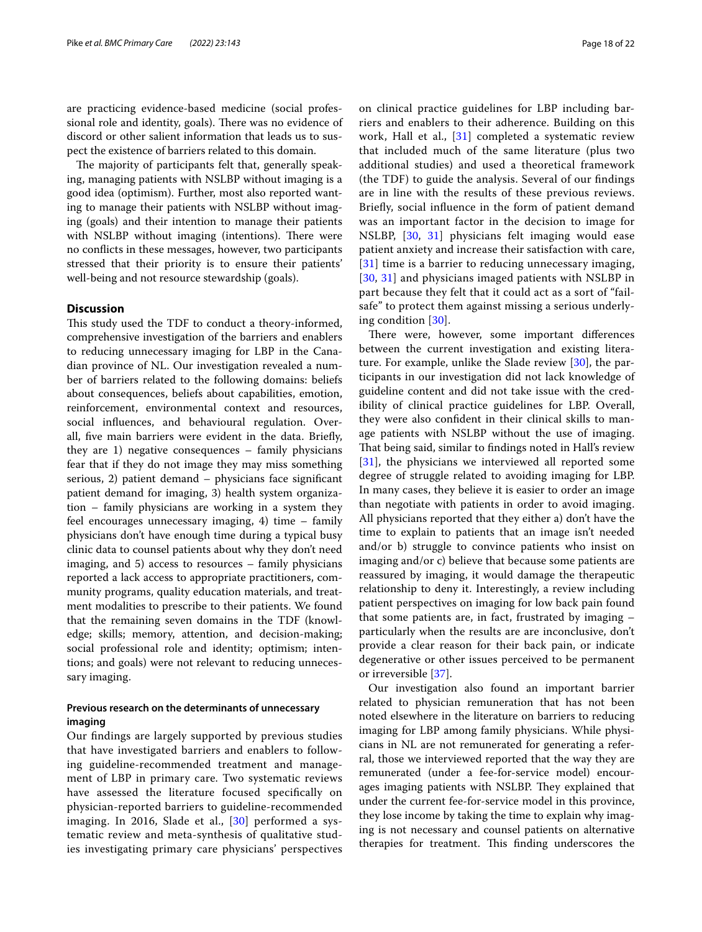are practicing evidence-based medicine (social professional role and identity, goals). There was no evidence of discord or other salient information that leads us to suspect the existence of barriers related to this domain.

The majority of participants felt that, generally speaking, managing patients with NSLBP without imaging is a good idea (optimism). Further, most also reported wanting to manage their patients with NSLBP without imaging (goals) and their intention to manage their patients with NSLBP without imaging (intentions). There were no conficts in these messages, however, two participants stressed that their priority is to ensure their patients' well-being and not resource stewardship (goals).

### **Discussion**

This study used the TDF to conduct a theory-informed, comprehensive investigation of the barriers and enablers to reducing unnecessary imaging for LBP in the Canadian province of NL. Our investigation revealed a number of barriers related to the following domains: beliefs about consequences, beliefs about capabilities, emotion, reinforcement, environmental context and resources, social infuences, and behavioural regulation. Overall, fve main barriers were evident in the data. Briefy, they are 1) negative consequences – family physicians fear that if they do not image they may miss something serious, 2) patient demand – physicians face signifcant patient demand for imaging, 3) health system organization – family physicians are working in a system they feel encourages unnecessary imaging, 4) time – family physicians don't have enough time during a typical busy clinic data to counsel patients about why they don't need imaging, and 5) access to resources – family physicians reported a lack access to appropriate practitioners, community programs, quality education materials, and treatment modalities to prescribe to their patients. We found that the remaining seven domains in the TDF (knowledge; skills; memory, attention, and decision-making; social professional role and identity; optimism; intentions; and goals) were not relevant to reducing unnecessary imaging.

# **Previous research on the determinants of unnecessary imaging**

Our fndings are largely supported by previous studies that have investigated barriers and enablers to following guideline-recommended treatment and management of LBP in primary care. Two systematic reviews have assessed the literature focused specifcally on physician-reported barriers to guideline-recommended imaging. In 2016, Slade et al., [[30\]](#page-21-2) performed a systematic review and meta-synthesis of qualitative studies investigating primary care physicians' perspectives on clinical practice guidelines for LBP including barriers and enablers to their adherence. Building on this work, Hall et al.,  $[31]$  $[31]$  $[31]$  completed a systematic review that included much of the same literature (plus two additional studies) and used a theoretical framework (the TDF) to guide the analysis. Several of our fndings are in line with the results of these previous reviews. Briefy, social infuence in the form of patient demand was an important factor in the decision to image for NSLBP, [[30](#page-21-2), [31](#page-21-3)] physicians felt imaging would ease patient anxiety and increase their satisfaction with care, [[31](#page-21-3)] time is a barrier to reducing unnecessary imaging, [[30](#page-21-2), [31\]](#page-21-3) and physicians imaged patients with NSLBP in part because they felt that it could act as a sort of "failsafe" to protect them against missing a serious underlying condition [[30\]](#page-21-2).

There were, however, some important differences between the current investigation and existing literature. For example, unlike the Slade review [[30\]](#page-21-2), the participants in our investigation did not lack knowledge of guideline content and did not take issue with the credibility of clinical practice guidelines for LBP. Overall, they were also confdent in their clinical skills to manage patients with NSLBP without the use of imaging. That being said, similar to findings noted in Hall's review [[31\]](#page-21-3), the physicians we interviewed all reported some degree of struggle related to avoiding imaging for LBP. In many cases, they believe it is easier to order an image than negotiate with patients in order to avoid imaging. All physicians reported that they either a) don't have the time to explain to patients that an image isn't needed and/or b) struggle to convince patients who insist on imaging and/or c) believe that because some patients are reassured by imaging, it would damage the therapeutic relationship to deny it. Interestingly, a review including patient perspectives on imaging for low back pain found that some patients are, in fact, frustrated by imaging – particularly when the results are are inconclusive, don't provide a clear reason for their back pain, or indicate degenerative or other issues perceived to be permanent or irreversible [\[37](#page-21-9)].

Our investigation also found an important barrier related to physician remuneration that has not been noted elsewhere in the literature on barriers to reducing imaging for LBP among family physicians. While physicians in NL are not remunerated for generating a referral, those we interviewed reported that the way they are remunerated (under a fee-for-service model) encourages imaging patients with NSLBP. They explained that under the current fee-for-service model in this province, they lose income by taking the time to explain why imaging is not necessary and counsel patients on alternative therapies for treatment. This finding underscores the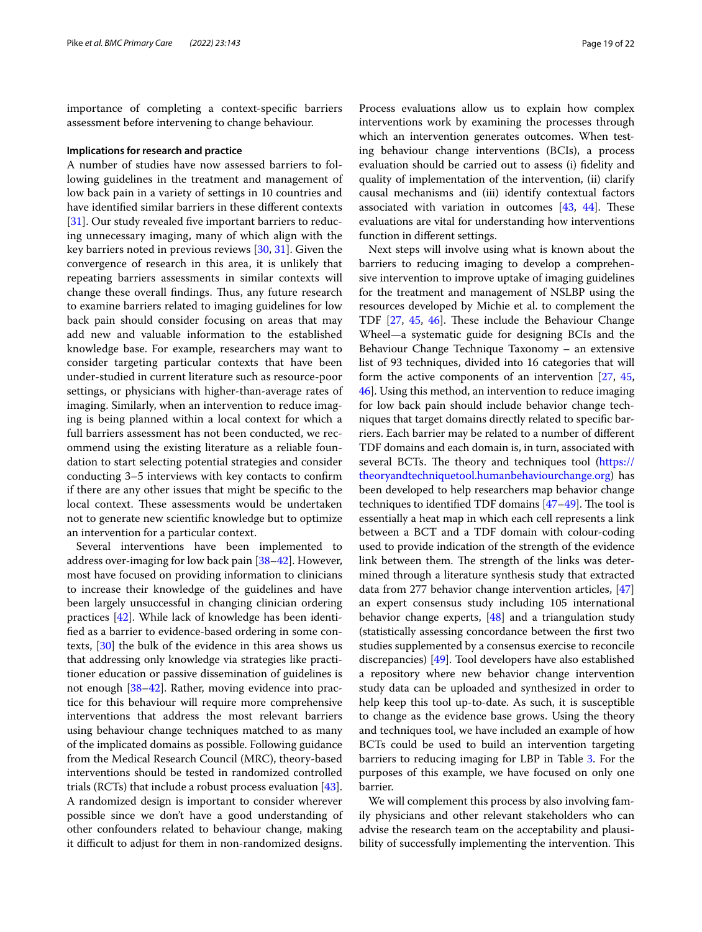importance of completing a context-specifc barriers assessment before intervening to change behaviour.

#### **Implications for research and practice**

A number of studies have now assessed barriers to following guidelines in the treatment and management of low back pain in a variety of settings in 10 countries and have identifed similar barriers in these diferent contexts [[31\]](#page-21-3). Our study revealed five important barriers to reducing unnecessary imaging, many of which align with the key barriers noted in previous reviews [\[30](#page-21-2), [31\]](#page-21-3). Given the convergence of research in this area, it is unlikely that repeating barriers assessments in similar contexts will change these overall findings. Thus, any future research to examine barriers related to imaging guidelines for low back pain should consider focusing on areas that may add new and valuable information to the established knowledge base. For example, researchers may want to consider targeting particular contexts that have been under-studied in current literature such as resource-poor settings, or physicians with higher-than-average rates of imaging. Similarly, when an intervention to reduce imaging is being planned within a local context for which a full barriers assessment has not been conducted, we recommend using the existing literature as a reliable foundation to start selecting potential strategies and consider conducting 3–5 interviews with key contacts to confrm if there are any other issues that might be specifc to the local context. These assessments would be undertaken not to generate new scientifc knowledge but to optimize an intervention for a particular context.

Several interventions have been implemented to address over-imaging for low back pain [[38](#page-21-10)[–42\]](#page-21-11). However, most have focused on providing information to clinicians to increase their knowledge of the guidelines and have been largely unsuccessful in changing clinician ordering practices [\[42](#page-21-11)]. While lack of knowledge has been identifed as a barrier to evidence-based ordering in some contexts, [[30](#page-21-2)] the bulk of the evidence in this area shows us that addressing only knowledge via strategies like practitioner education or passive dissemination of guidelines is not enough [[38](#page-21-10)[–42](#page-21-11)]. Rather, moving evidence into practice for this behaviour will require more comprehensive interventions that address the most relevant barriers using behaviour change techniques matched to as many of the implicated domains as possible. Following guidance from the Medical Research Council (MRC), theory-based interventions should be tested in randomized controlled trials (RCTs) that include a robust process evaluation [\[43](#page-21-12)]. A randomized design is important to consider wherever possible since we don't have a good understanding of other confounders related to behaviour change, making it difficult to adjust for them in non-randomized designs. Process evaluations allow us to explain how complex interventions work by examining the processes through which an intervention generates outcomes. When testing behaviour change interventions (BCIs), a process evaluation should be carried out to assess (i) fdelity and quality of implementation of the intervention, (ii) clarify causal mechanisms and (iii) identify contextual factors associated with variation in outcomes  $[43, 44]$  $[43, 44]$  $[43, 44]$  $[43, 44]$ . These evaluations are vital for understanding how interventions function in diferent settings.

Next steps will involve using what is known about the barriers to reducing imaging to develop a comprehensive intervention to improve uptake of imaging guidelines for the treatment and management of NSLBP using the resources developed by Michie et al. to complement the TDF  $[27, 45, 46]$  $[27, 45, 46]$  $[27, 45, 46]$  $[27, 45, 46]$  $[27, 45, 46]$  $[27, 45, 46]$ . These include the Behaviour Change Wheel—a systematic guide for designing BCIs and the Behaviour Change Technique Taxonomy – an extensive list of 93 techniques, divided into 16 categories that will form the active components of an intervention [[27](#page-20-19), [45](#page-21-14), [46](#page-21-15)]. Using this method, an intervention to reduce imaging for low back pain should include behavior change techniques that target domains directly related to specifc barriers. Each barrier may be related to a number of diferent TDF domains and each domain is, in turn, associated with several BCTs. The theory and techniques tool ([https://](https://theoryandtechniquetool.humanbehaviourchange.org) [theoryandtechniquetool.humanbehaviourchange.org\)](https://theoryandtechniquetool.humanbehaviourchange.org) has been developed to help researchers map behavior change techniques to identified TDF domains  $[47-49]$  $[47-49]$ . The tool is essentially a heat map in which each cell represents a link between a BCT and a TDF domain with colour-coding used to provide indication of the strength of the evidence link between them. The strength of the links was determined through a literature synthesis study that extracted data from 277 behavior change intervention articles, [[47](#page-21-16)] an expert consensus study including 105 international behavior change experts, [[48](#page-21-18)] and a triangulation study (statistically assessing concordance between the frst two studies supplemented by a consensus exercise to reconcile discrepancies) [\[49](#page-21-17)]. Tool developers have also established a repository where new behavior change intervention study data can be uploaded and synthesized in order to help keep this tool up-to-date. As such, it is susceptible to change as the evidence base grows. Using the theory and techniques tool, we have included an example of how BCTs could be used to build an intervention targeting barriers to reducing imaging for LBP in Table [3](#page-19-0). For the purposes of this example, we have focused on only one barrier.

We will complement this process by also involving family physicians and other relevant stakeholders who can advise the research team on the acceptability and plausibility of successfully implementing the intervention. This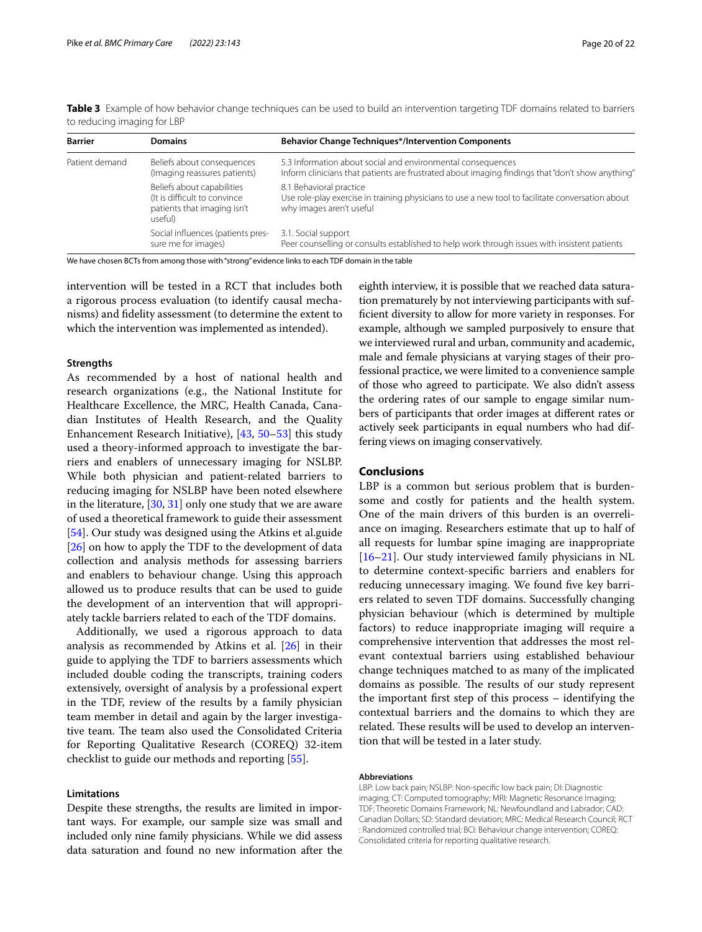| <b>Barrier</b> | <b>Domains</b>                                                                                       | <b>Behavior Change Techniques*/Intervention Components</b>                                                                                                      |  |
|----------------|------------------------------------------------------------------------------------------------------|-----------------------------------------------------------------------------------------------------------------------------------------------------------------|--|
| Patient demand | Beliefs about consequences<br>(Imaging reassures patients)                                           | 5.3 Information about social and environmental consequences<br>Inform clinicians that patients are frustrated about imaging findings that "don't show anything" |  |
|                | Beliefs about capabilities<br>(It is difficult to convince<br>patients that imaging isn't<br>useful) | 8.1 Behavioral practice<br>Use role-play exercise in training physicians to use a new tool to facilitate conversation about<br>why images aren't useful         |  |
|                | Social influences (patients pres-<br>sure me for images)                                             | 3.1. Social support<br>Peer counselling or consults established to help work through issues with insistent patients                                             |  |

<span id="page-19-0"></span>**Table 3** Example of how behavior change techniques can be used to build an intervention targeting TDF domains related to barriers to reducing imaging for LBP

We have chosen BCTs from among those with "strong" evidence links to each TDF domain in the table

intervention will be tested in a RCT that includes both a rigorous process evaluation (to identify causal mechanisms) and fdelity assessment (to determine the extent to which the intervention was implemented as intended).

### **Strengths**

As recommended by a host of national health and research organizations (e.g., the National Institute for Healthcare Excellence, the MRC, Health Canada, Canadian Institutes of Health Research, and the Quality Enhancement Research Initiative), [[43,](#page-21-12) [50–](#page-21-19)[53](#page-21-20)] this study used a theory-informed approach to investigate the barriers and enablers of unnecessary imaging for NSLBP. While both physician and patient-related barriers to reducing imaging for NSLBP have been noted elsewhere in the literature, [[30,](#page-21-2) [31](#page-21-3)] only one study that we are aware of used a theoretical framework to guide their assessment [[54\]](#page-21-21). Our study was designed using the Atkins et al.guide [[26\]](#page-20-17) on how to apply the TDF to the development of data collection and analysis methods for assessing barriers and enablers to behaviour change. Using this approach allowed us to produce results that can be used to guide the development of an intervention that will appropriately tackle barriers related to each of the TDF domains.

Additionally, we used a rigorous approach to data analysis as recommended by Atkins et al. [[26\]](#page-20-17) in their guide to applying the TDF to barriers assessments which included double coding the transcripts, training coders extensively, oversight of analysis by a professional expert in the TDF, review of the results by a family physician team member in detail and again by the larger investigative team. The team also used the Consolidated Criteria for Reporting Qualitative Research (COREQ) 32-item checklist to guide our methods and reporting [[55\]](#page-21-22).

### **Limitations**

Despite these strengths, the results are limited in important ways. For example, our sample size was small and included only nine family physicians. While we did assess data saturation and found no new information after the

eighth interview, it is possible that we reached data saturation prematurely by not interviewing participants with suffcient diversity to allow for more variety in responses. For example, although we sampled purposively to ensure that we interviewed rural and urban, community and academic, male and female physicians at varying stages of their professional practice, we were limited to a convenience sample of those who agreed to participate. We also didn't assess the ordering rates of our sample to engage similar numbers of participants that order images at diferent rates or actively seek participants in equal numbers who had differing views on imaging conservatively.

## **Conclusions**

LBP is a common but serious problem that is burdensome and costly for patients and the health system. One of the main drivers of this burden is an overreliance on imaging. Researchers estimate that up to half of all requests for lumbar spine imaging are inappropriate [[16–](#page-20-12)[21\]](#page-20-13). Our study interviewed family physicians in NL to determine context-specifc barriers and enablers for reducing unnecessary imaging. We found five key barriers related to seven TDF domains. Successfully changing physician behaviour (which is determined by multiple factors) to reduce inappropriate imaging will require a comprehensive intervention that addresses the most relevant contextual barriers using established behaviour change techniques matched to as many of the implicated domains as possible. The results of our study represent the important frst step of this process – identifying the contextual barriers and the domains to which they are related. These results will be used to develop an intervention that will be tested in a later study.

# **Abbreviations**

LBP: Low back pain; NSLBP: Non-specifc low back pain; DI: Diagnostic imaging; CT: Computed tomography; MRI: Magnetic Resonance Imaging; TDF: Theoretic Domains Framework; NL: Newfoundland and Labrador; CAD: Canadian Dollars; SD: Standard deviation; MRC: Medical Research Council; RCT : Randomized controlled trial; BCI: Behaviour change intervention; COREQ: Consolidated criteria for reporting qualitative research.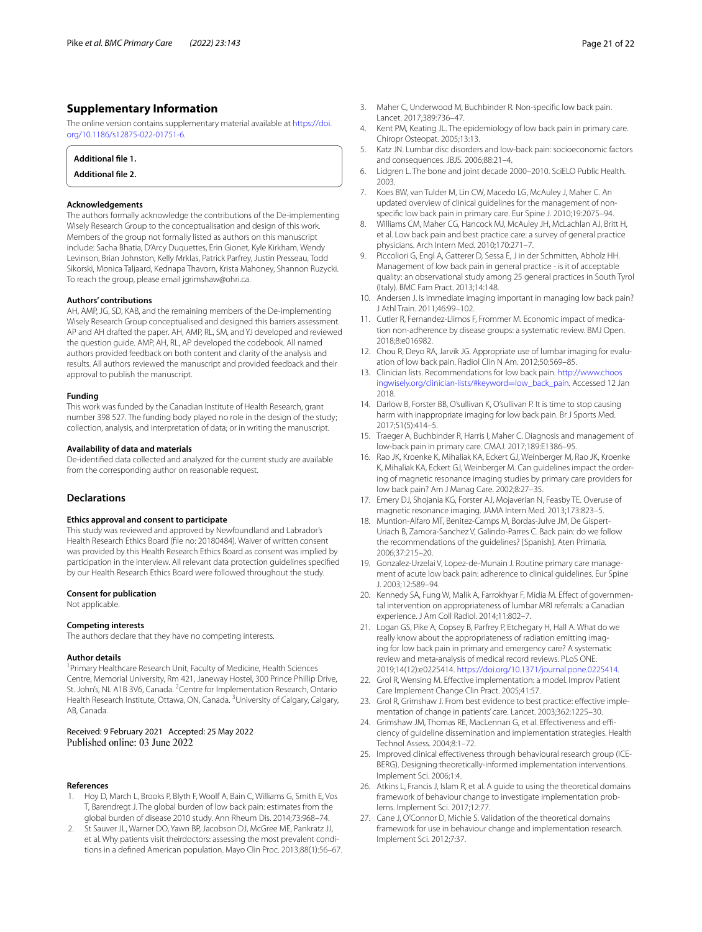# **Supplementary Information**

The online version contains supplementary material available at [https://doi.](https://doi.org/10.1186/s12875-022-01751-6) [org/10.1186/s12875-022-01751-6](https://doi.org/10.1186/s12875-022-01751-6).

<span id="page-20-18"></span>

| Additional file 1.        |  |  |
|---------------------------|--|--|
| <b>Additional file 2.</b> |  |  |

#### **Acknowledgements**

The authors formally acknowledge the contributions of the De-implementing Wisely Research Group to the conceptualisation and design of this work. Members of the group not formally listed as authors on this manuscript include: Sacha Bhatia, D'Arcy Duquettes, Erin Gionet, Kyle Kirkham, Wendy Levinson, Brian Johnston, Kelly Mrklas, Patrick Parfrey, Justin Presseau, Todd Sikorski, Monica Taljaard, Kednapa Thavorn, Krista Mahoney, Shannon Ruzycki. To reach the group, please email jgrimshaw@ohri.ca.

### **Authors' contributions**

AH, AMP, JG, SD, KAB, and the remaining members of the De-implementing Wisely Research Group conceptualised and designed this barriers assessment. AP and AH drafted the paper. AH, AMP, RL, SM, and YJ developed and reviewed the question guide. AMP, AH, RL, AP developed the codebook. All named authors provided feedback on both content and clarity of the analysis and results. All authors reviewed the manuscript and provided feedback and their approval to publish the manuscript.

#### **Funding**

This work was funded by the Canadian Institute of Health Research, grant number 398 527. The funding body played no role in the design of the study; collection, analysis, and interpretation of data; or in writing the manuscript.

#### **Availability of data and materials**

De-identifed data collected and analyzed for the current study are available from the corresponding author on reasonable request.

### **Declarations**

#### **Ethics approval and consent to participate**

This study was reviewed and approved by Newfoundland and Labrador's Health Research Ethics Board (fle no: 20180484). Waiver of written consent was provided by this Health Research Ethics Board as consent was implied by participation in the interview. All relevant data protection guidelines specifed by our Health Research Ethics Board were followed throughout the study.

### **Consent for publication**

Not applicable.

#### **Competing interests**

The authors declare that they have no competing interests.

#### **Author details**

<sup>1</sup> Primary Healthcare Research Unit, Faculty of Medicine, Health Sciences Centre, Memorial University, Rm 421, Janeway Hostel, 300 Prince Phillip Drive, St. John's, NL A1B 3V6, Canada. <sup>2</sup> Centre for Implementation Research, Ontario Health Research Institute, Ottawa, ON, Canada. <sup>3</sup>University of Calgary, Calgary, AB, Canada.

### Received: 9 February 2021 Accepted: 25 May 2022 Published online: 03 June 2022

#### **References**

- <span id="page-20-0"></span>1. Hoy D, March L, Brooks P, Blyth F, Woolf A, Bain C, Williams G, Smith E, Vos T, Barendregt J. The global burden of low back pain: estimates from the global burden of disease 2010 study. Ann Rheum Dis. 2014;73:968–74.
- <span id="page-20-1"></span>2. St Sauver JL, Warner DO, Yawn BP, Jacobson DJ, McGree ME, Pankratz JJ, et al. Why patients visit theirdoctors: assessing the most prevalent conditions in a defned American population. Mayo Clin Proc. 2013;88(1):56–67.
- <span id="page-20-2"></span>3. Maher C, Underwood M, Buchbinder R. Non-specifc low back pain. Lancet. 2017;389:736–47.
- 4. Kent PM, Keating JL. The epidemiology of low back pain in primary care. Chiropr Osteopat. 2005;13:13.
- 5. Katz JN. Lumbar disc disorders and low-back pain: socioeconomic factors and consequences. JBJS. 2006;88:21–4.
- <span id="page-20-3"></span>6. Lidgren L. The bone and joint decade 2000–2010. SciELO Public Health. 2003.
- <span id="page-20-4"></span>7. Koes BW, van Tulder M, Lin CW, Macedo LG, McAuley J, Maher C. An updated overview of clinical guidelines for the management of nonspecifc low back pain in primary care. Eur Spine J. 2010;19:2075–94.
- <span id="page-20-5"></span>8. Williams CM, Maher CG, Hancock MJ, McAuley JH, McLachlan AJ, Britt H, et al. Low back pain and best practice care: a survey of general practice physicians. Arch Intern Med. 2010;170:271–7.
- <span id="page-20-6"></span>9. Piccoliori G, Engl A, Gatterer D, Sessa E, J in der Schmitten, Abholz HH. Management of low back pain in general practice - is it of acceptable quality: an observational study among 25 general practices in South Tyrol (Italy). BMC Fam Pract. 2013;14:148.
- <span id="page-20-7"></span>10. Andersen J. Is immediate imaging important in managing low back pain? J Athl Train. 2011;46:99–102.
- <span id="page-20-8"></span>11. Cutler R, Fernandez-Llimos F, Frommer M. Economic impact of medication non-adherence by disease groups: a systematic review. BMJ Open. 2018;8:e016982.
- <span id="page-20-9"></span>12. Chou R, Deyo RA, Jarvik JG. Appropriate use of lumbar imaging for evaluation of low back pain. Radiol Clin N Am. 2012;50:569–85.
- 13. Clinician lists. Recommendations for low back pain. [http://www.choos](http://www.choosingwisely.org/clinician-lists/#keyword=low_back_pain) [ingwisely.org/clinician-lists/#keyword](http://www.choosingwisely.org/clinician-lists/#keyword=low_back_pain)=low\_back\_pain. Accessed 12 Jan 2018.
- <span id="page-20-10"></span>14. Darlow B, Forster BB, O'sullivan K, O'sullivan P. It is time to stop causing harm with inappropriate imaging for low back pain. Br J Sports Med. 2017;51(5):414–5.
- <span id="page-20-11"></span>15. Traeger A, Buchbinder R, Harris I, Maher C. Diagnosis and management of low-back pain in primary care. CMAJ. 2017;189:E1386–95.
- <span id="page-20-12"></span>16. Rao JK, Kroenke K, Mihaliak KA, Eckert GJ, Weinberger M, Rao JK, Kroenke K, Mihaliak KA, Eckert GJ, Weinberger M. Can guidelines impact the ordering of magnetic resonance imaging studies by primary care providers for low back pain? Am J Manag Care. 2002;8:27–35.
- 17. Emery DJ, Shojania KG, Forster AJ, Mojaverian N, Feasby TE. Overuse of magnetic resonance imaging. JAMA Intern Med. 2013;173:823–5.
- 18. Muntion-Alfaro MT, Benitez-Camps M, Bordas-Julve JM, De Gispert-Uriach B, Zamora-Sanchez V, Galindo-Parres C. Back pain: do we follow the recommendations of the guidelines? [Spanish]. Aten Primaria. 2006;37:215–20.
- 19. Gonzalez-Urzelai V, Lopez-de-Munain J. Routine primary care management of acute low back pain: adherence to clinical guidelines. Eur Spine J. 2003;12:589–94.
- 20. Kennedy SA, Fung W, Malik A, Farrokhyar F, Midia M. Effect of governmental intervention on appropriateness of lumbar MRI referrals: a Canadian experience. J Am Coll Radiol. 2014;11:802–7.
- <span id="page-20-13"></span>21. Logan GS, Pike A, Copsey B, Parfrey P, Etchegary H, Hall A. What do we really know about the appropriateness of radiation emitting imaging for low back pain in primary and emergency care? A systematic review and meta-analysis of medical record reviews. PLoS ONE. 2019;14(12):e0225414. <https://doi.org/10.1371/journal.pone.0225414>.
- <span id="page-20-14"></span>22. Grol R, Wensing M. Efective implementation: a model. Improv Patient Care Implement Change Clin Pract. 2005;41:57.
- <span id="page-20-15"></span>23. Grol R, Grimshaw J. From best evidence to best practice: effective implementation of change in patients' care. Lancet. 2003;362:1225–30.
- 24. Grimshaw JM, Thomas RE, MacLennan G, et al. Effectiveness and efficiency of guideline dissemination and implementation strategies. Health Technol Assess. 2004;8:1–72.
- <span id="page-20-16"></span>25. Improved clinical effectiveness through behavioural research group (ICE-BERG). Designing theoretically-informed implementation interventions. Implement Sci. 2006;1:4.
- <span id="page-20-17"></span>26. Atkins L, Francis J, Islam R, et al. A guide to using the theoretical domains framework of behaviour change to investigate implementation problems. Implement Sci. 2017;12:77.
- <span id="page-20-19"></span>27. Cane J, O'Connor D, Michie S. Validation of the theoretical domains framework for use in behaviour change and implementation research. Implement Sci. 2012;7:37.